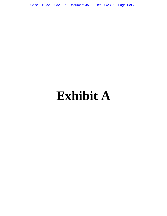Case 1:19-cv-03632-TJK Document 45-1 Filed 06/23/20 Page 1 of 75

# **Exhibit A**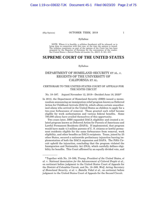——————

#### (Slip Opinion) **OCTOBER TERM, 2019** 1

## Syllabus

 NOTE: Where it is feasible, a syllabus (headnote) will be released, as is being done in connection with this case, at the time the opinion is issued. The syllabus constitutes no part of the opinion of the Court but has been<br>prepared by the Reporter of Decisions for the convenience of the reader.<br>See United States v. Detroit Timber & Lumber Co., 200 U.S. 321, 337.

# **SUPREME COURT OF THE UNITED STATES**

#### Syllabus

# REGENTS OF THE UNIVERSITY OF DEPARTMENT OF HOMELAND SECURITY ET AL. *v.*  CALIFORNIA ET AL.

## CERTIORARI TO THE UNITED STATES COURT OF APPEALS FOR THE NINTH CIRCUIT

#### No. 18–587. Argued November 12, 2019—Decided June 18, 2020\*

In 2012, the Department of Homeland Security (DHS) issued a memorandum announcing an immigration relief program known as Deferred Action for Childhood Arrivals (DACA), which allows certain unauthorized aliens who arrived in the United States as children to apply for a two-year forbearance of removal. Those granted such relief become eligible for work authorization and various federal benefits. Some 700,000 aliens have availed themselves of this opportunity.

Two years later, DHS expanded DACA eligibility and created a related program known as Deferred Action for Parents of Americans and Lawful Permanent Residents (DAPA). If implemented, that program would have made 4.3 million parents of U. S. citizens or lawful permanent residents eligible for the same forbearance from removal, work eligibility, and other benefits as DACA recipients. Texas, joined by 25 other States, secured a nationwide preliminary injunction barring implementation of both the DACA expansion and DAPA. The Fifth Circuit upheld the injunction, concluding that the program violated the Immigration and Nationality Act (INA), which carefully defines eligibility for benefits. This Court affirmed by an equally divided vote, and

<sup>\*</sup>Together with No. 18–588, *Trump, President of the United States, et al.* v. *National Association for the Advancement of Colored People et al.*, on certiorari before judgment to the United States Court of Appeals for the District of Columbia Circuit, and No. 18–589, *Wolf, Acting Secretary of Homeland Security, et al.* v. *Batalla Vidal et al.*, on certiorari before judgment to the United States Court of Appeals for the Second Circuit.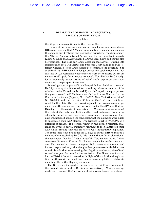## 2 DEPARTMENT OF HOMELAND SECURITY *v.*  REGENTS OF UNIV. OF CAL. Syllabus

the litigation then continued in the District Court.

In June 2017, following a change in Presidential administrations, DHS rescinded the DAPA Memorandum, citing, among other reasons, the ongoing suit by Texas and new policy priorities. That September, the Attorney General advised Acting Secretary of Homeland Security Elaine C. Duke that DACA shared DAPA's legal flaws and should also be rescinded. The next day, Duke acted on that advice. Taking into consideration the Fifth Circuit and Supreme Court rulings and the Attorney General's letter, Duke decided to terminate the program. She explained that DHS would no longer accept new applications, but that existing DACA recipients whose benefits were set to expire within six months could apply for a two-year renewal. For all other DACA recipients, previously issued grants of relief would expire on their own terms, with no prospect for renewal.

 successor, Secretary Kirstjen M. Nielsen, responded to the court's or-Several groups of plaintiffs challenged Duke's decision to rescind DACA, claiming that it was arbitrary and capricious in violation of the Administrative Procedure Act (APA) and infringed the equal protection guarantee of the Fifth Amendment's Due Process Clause. District Courts in California (*Regents*, No. 18–587), New York (*Batalla Vidal*, No. 18–589), and the District of Columbia (*NAACP*, No. 18–588) all ruled for the plaintiffs. Each court rejected the Government's arguments that the claims were unreviewable under the APA and that the INA deprived the courts of jurisdiction. In *Regents* and *Batalla Vidal*, the District Courts further held that the equal protection claims were adequately alleged, and they entered coextensive nationwide preliminary injunctions based on the conclusion that the plaintiffs were likely to succeed on their APA claims. The District Court in *NAACP* took a different approach. It deferred ruling on the equal protection challenge but granted partial summary judgment to the plaintiffs on their APA claim, finding that the rescission was inadequately explained. The court then stayed its order for 90 days to permit DHS to reissue a memorandum rescinding DACA, this time with a fuller explanation of the conclusion that DACA was unlawful. Two months later, Duke's der. She declined to disturb or replace Duke's rescission decision and instead explained why she thought her predecessor's decision was sound. In addition to reiterating the illegality conclusion, she offered several new justifications for the rescission. The Government moved for the District Court to reconsider in light of this additional explanation, but the court concluded that the new reasoning failed to elaborate meaningfully on the illegality rationale.

The Government appealed the various District Court decisions to the Second, Ninth, and D. C. Circuits, respectively. While those appeals were pending, the Government filed three petitions for certiorari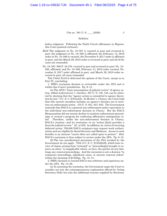#### Syllabus

before judgment. Following the Ninth Circuit affirmance in *Regents*, this Court granted certiorari.

- *Held*: The judgment in No. 18–587 is vacated in part and reversed in part; the judgment in No. 18–588 is affirmed; the February 13, 2018 order in No. 18–589 is vacated, the November 9, 2017 order is affirmed in part, and the March 29, 2018 order is reversed in part; and all of the cases are remanded.
- No. 18–587, 908 F. 3d 476, vacated in part and reversed in part; No. 18– 588, affirmed; and No. 18–589, February 13, 2018 order vacated, November 9, 2017 order affirmed in part, and March 29, 2018 order reversed in part; all cases remanded.

THE CHIEF JUSTICE delivered the opinion of the Court, except as to Part IV, concluding:

1. DHS's rescission decision is reviewable under the APA and is within this Court's jurisdiction. Pp. 9–13.

 focus for judicial review." *Id.,* at 832. In addition, by virtue of receiving (a) The APA's "basic presumption of judicial review" of agency action, *Abbott Laboratories* v. *Gardner*, 387 U. S. 136, 140, can be rebutted by showing that the "agency action is committed to agency discretion by law," 5 U. S. C. §701(a)(2). In *Heckler* v. *Chaney*, the Court held that this narrow exception includes an agency's decision not to institute an enforcement action. 470 U. S. 821, 831–832. The Government contends that DACA is a general non-enforcement policy equivalent to the individual non-enforcement decision in *Chaney*. But the DACA Memorandum did not merely decline to institute enforcement proceedings; it created a program for conferring affirmative immigration relief. Therefore, unlike the non-enforcement decision in *Chaney*, DACA's creation—and its rescission—is an "action [that] provides a deferred action, 700,000 DACA recipients may request work authorization and are eligible for Social Security and Medicare. Access to such benefits is an interest "courts often are called upon to protect." *Ibid.*  DACA's rescission is thus subject to review under the APA. Pp. 9–12.

(b) The two jurisdictional provisions of the INA invoked by the Government do not apply. Title 8 U. S. C. §1252(b)(9), which bars review of claims arising from "action[s]" or "proceeding[s] brought to remove an alien," is inapplicable where, as here, the parties do not challenge any removal proceedings. And the rescission is not a decision "to commence proceedings, adjudicate cases, or execute removal orders" within the meaning of  $$1252(g)$ . Pp. 12–13.

2. DHS's decision to rescind DACA was arbitrary and capricious under the APA. Pp. 13–26.

(a) In assessing the rescission, the Government urges the Court to consider not just the contemporaneous explanation offered by Acting Secretary Duke but also the additional reasons supplied by Secretary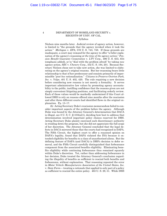## 4 DEPARTMENT OF HOMELAND SECURITY *v.*  REGENTS OF UNIV. OF CAL. Syllabus

Nielsen nine months later. Judicial review of agency action, however, is limited to "the grounds that the agency invoked when it took the action." *Michigan* v. *EPA*, 576 U. S. 743, 758. If those grounds are inadequate, a court may remand for the agency to offer "a fuller explanation of the agency's reasoning *at the time of the agency action*," *Pension Benefit Guaranty Corporation* v. *LTV Corp.*, 496 U. S. 633, 654 (emphasis added), or to "deal with the problem afresh" by taking *new*  agency action, *SEC* v. *Chenery Corp.,* 332 U. S. 194, 201. Because Secretary Nielsen chose not to take new action, she was limited to elaborating on the agency's original reasons. But her reasoning bears little relationship to that of her predecessor and consists primarily of impermissible "*post hoc* rationalization." *Citizens to Preserve Overton Park, Inc.* v. *Volpe*, 401 U. S. 402, 420. The rule requiring a new decision before considering new reasons is not merely a formality. It serves important administrative law values by promoting agency accountability to the public, instilling confidence that the reasons given are not simply convenient litigating positions, and facilitating orderly review. Each of these values would be markedly undermined if this Court allowed DHS to rely on reasons offered nine months after the rescission and after three different courts had identified flaws in the original explanation. Pp. 13–17.

(b) Acting Secretary Duke's rescission memorandum failed to consider important aspects of the problem before the agency. Although Duke was bound by the Attorney General's determination that DACA is illegal, see 8 U. S. C. §1103(a)(1), deciding how best to address that determination involved important policy choices reserved for DHS. Acting Secretary Duke plainly exercised such discretionary authority in winding down the program, but she did not appreciate the full scope of her discretion. The Attorney General concluded that the legal defects in DACA mirrored those that the courts had recognized in DAPA. The Fifth Circuit, the highest court to offer a reasoned opinion on DAPA's legality, found that DAPA violated the INA because it extended eligibility for benefits to a class of unauthorized aliens. But the defining feature of DAPA (and DACA) is DHS's decision to defer removal, and the Fifth Circuit carefully distinguished that forbearance component from the associated benefits eligibility. Eliminating benefits eligibility while continuing forbearance thus remained squarely within Duke's discretion. Yet, rather than addressing forbearance in her decision, Duke treated the Attorney General's conclusion regarding the illegality of benefits as sufficient to rescind both benefits and forbearance, without explanation. That reasoning repeated the error in *Motor Vehicle Manufacturers Association of the United States, Inc.*  v. *State Farm*— treating a rationale that applied to only part of a policy as sufficient to rescind the entire policy. 463 U. S. 29, 51. While DHS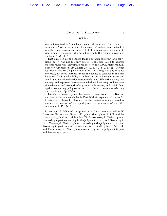#### Syllabus

was not required to "consider all policy alternatives," *ibid.*, deferred action was "within the ambit of the existing" policy, *ibid.*; indeed, it was the centerpiece of the policy. In failing to consider the option to retain deferred action, Duke "failed to supply the requisite 'reasoned analysis.'" *Id.*, at 57.

That omission alone renders Duke's decision arbitrary and capricious, but it was not the only defect. Duke also failed to address whether there was "legitimate reliance" on the DACA Memorandum. *Smiley* v. *Citibank (South Dakota), N. A.*, 517 U. S. 735, 742. Certain features of the DACA policy may affect the strength of any reliance interests, but those features are for the agency to consider in the first instance. DHS has flexibility in addressing any reliance interests and could have considered various accommodations. While the agency was not required to pursue these accommodations, it was required to assess the existence and strength of any reliance interests, and weigh them against competing policy concerns. Its failure to do so was arbitrary and capricious. Pp. 17–26.

THE CHIEF JUSTICE, joined by JUSTICE GINSBURG, JUSTICE BREYER, and JUSTICE KAGAN, concluded in Part IV that respondents' claims fail to establish a plausible inference that the rescission was motivated by animus in violation of the equal protection guarantee of the Fifth Amendment. Pp. 27–29.

ROBERTS, C. J., delivered the opinion of the Court, except as to Part IV. ROBERTS, C. J., delivered the opinion of the Court, except as to Part IV. GINSBURG, BREYER, and KAGAN, JJ., joined that opinion in full, and SO-TOMAYOR, J., joined as to all but Part IV. SOTOMAYOR, J., filed an opinion concurring in part, concurring in the judgment in part, and dissenting in part. THOMAS, J., filed an opinion concurring in the judgment in part and dissenting in part, in which ALITO and GORSUCH, JJ., joined. ALITO, J., and KAVANAUGH, J., filed opinions concurring in the judgment in part and dissenting in part.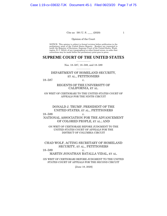Opinion of the Court

NOTICE: This opinion is subject to formal revision before publication in the preliminary print of the United States Reports. Readers are requested to notify the Reporter of Decisions, Supreme Court of the United States, Wa ington, D. C. 20543, of any typographical or other formal errors, in order that corrections may be made before the preliminary print goes to press.

### $\frac{1}{2}$  ,  $\frac{1}{2}$  ,  $\frac{1}{2}$  ,  $\frac{1}{2}$  ,  $\frac{1}{2}$  ,  $\frac{1}{2}$  ,  $\frac{1}{2}$ **SUPREME COURT OF THE UNITED STATES**

 $\frac{1}{2}$  ,  $\frac{1}{2}$  ,  $\frac{1}{2}$  ,  $\frac{1}{2}$  ,  $\frac{1}{2}$  ,  $\frac{1}{2}$ Nos. 18–587, 18–588, and 18–589

# DEPARTMENT OF HOMELAND SECURITY, ET AL., PETITIONERS

18–587 *v.* 

# REGENTS OF THE UNIVERSITY OF CALIFORNIA, ET AL.

## ON WRIT OF CERTIORARI TO THE UNITED STATES COURT OF APPEALS FOR THE NINTH CIRCUIT

# DONALD J. TRUMP, PRESIDENT OF THE UNITED STATES, ET AL., PETITIONERS

# 18–588 *v.*  NATIONAL ASSOCIATION FOR THE ADVANCEMENT OF COLORED PEOPLE, ET AL.; AND

ON WRIT OF CERTIORARI BEFORE JUDGMENT TO THE UNITED STATES COURT OF APPEALS FOR THE DISTRICT OF COLUMBIA CIRCUIT

# CHAD WOLF, ACTING SECRETARY OF HOMELAND SECURITY, ET AL., PETITIONERS

18–589 *v.*  MARTIN JONATHAN BATALLA VIDAL, ET AL.

# ON WRIT OF CERTIORARI BEFORE JUDGMENT TO THE UNITED STATES COURT OF APPEALS FOR THE SECOND CIRCUIT

[June 18, 2020]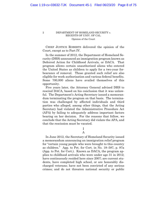CHIEF JUSTICE ROBERTS delivered the opinion of the Court, except as to Part IV.

In the summer of 2012, the Department of Homeland Security (DHS) announced an immigration program known as Deferred Action for Childhood Arrivals, or DACA. That program allows certain unauthorized aliens who entered the United States as children to apply for a two-year forbearance of removal. Those granted such relief are also eligible for work authorization and various federal benefits. Some 700,000 aliens have availed themselves of this opportunity.

Five years later, the Attorney General advised DHS to rescind DACA, based on his conclusion that it was unlawful. The Department's Acting Secretary issued a memorandum terminating the program on that basis. The termination was challenged by affected individuals and third parties who alleged, among other things, that the Acting Secretary had violated the Administrative Procedure Act (APA) by failing to adequately address important factors bearing on her decision. For the reasons that follow, we conclude that the Acting Secretary did violate the APA, and that the rescission must be vacated.

> I A

In June 2012, the Secretary of Homeland Security issued a memorandum announcing an immigration relief program for "certain young people who were brought to this country as children." App. to Pet. for Cert. in No. 18–587, p. 97a (App. to Pet. for Cert.). Known as DACA, the program applies to childhood arrivals who were under age 31 in 2012; have continuously resided here since 2007; are current students, have completed high school, or are honorably discharged veterans; have not been convicted of any serious crimes; and do not threaten national security or public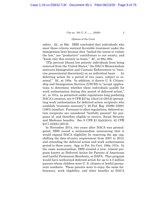#### Opinion of the Court

safety. *Id.*, at 98a. DHS concluded that individuals who meet these criteria warrant favorable treatment under the immigration laws because they "lacked the intent to violate the law," are "productive" contributors to our society, and "know only this country as home." *Id.*, at 98a–99a.

"[T]o prevent [these] low priority individuals from being removed from the United States," the DACA Memorandum instructs Immigration and Customs Enforcement to "exercise prosecutorial discretion[] on an individual basis . . . by deferring action for a period of two years, subject to renewal." *Id.*, at 100a. In addition, it directs U. S. Citizenship and Immigration Services (USCIS) to "accept applications to determine whether these individuals qualify for work authorization during this period of deferred action," *id.*, at 101a, as permitted under regulations long predating DACA's creation, see 8 CFR §274a.12(c)(14) (2012) (permitting work authorization for deferred action recipients who establish "economic necessity"); 46 Fed. Reg. 25080–25081 (1981) (similar). Pursuant to other regulations, deferred action recipients are considered "lawfully present" for purposes of, and therefore eligible to receive, Social Security and Medicare benefits. See 8 CFR §1.3(a)(4)(vi); 42 CFR §417.422(h) (2012).

In November 2014, two years after DACA was promulgated, DHS issued a memorandum announcing that it would expand DACA eligibility by removing the age cap, shifting the date-of-entry requirement from 2007 to 2010, and extending the deferred action and work authorization period to three years. App. to Pet. for Cert. 106a–107a. In the same memorandum, DHS created a new, related program known as Deferred Action for Parents of Americans and Lawful Permanent Residents, or DAPA. That program would have authorized deferred action for up to 4.3 million parents whose children were U. S. citizens or lawful permanent residents. These parents were to enjoy the same forbearance, work eligibility, and other benefits as DACA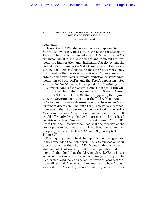recipients.

Before the DAPA Memorandum was implemented, 26 States, led by Texas, filed suit in the Southern District of Texas. The States contended that DAPA and the DACA expansion violated the APA's notice and comment requirement, the Immigration and Nationality Act (INA), and the Executive's duty under the Take Care Clause of the Constitution. The District Court found that the States were likely to succeed on the merits of at least one of their claims and entered a nationwide preliminary injunction barring implementation of both DAPA and the DACA expansion. See *Texas* v. *United States*, 86 F. Supp. 3d 591, 677–678 (2015).

 forcement discretion. The Fifth Circuit majority disagreed. benefits on a class of unlawfully present aliens." *Id.*, at 166. A divided panel of the Court of Appeals for the Fifth Circuit affirmed the preliminary injunction. *Texas* v. *United States*, 809 F. 3d 134, 188 (2015). In opposing the injunction, the Government argued that the DAPA Memorandum reflected an unreviewable exercise of the Government's en-It reasoned that the deferred action described in the DAPA Memorandum was "much more than nonenforcement: It would affirmatively confer 'lawful presence' and associated From this, the majority concluded that the creation of the DAPA program was not an unreviewable action "committed to agency discretion by law." *Id.*, at 169 (quoting 5 U. S. C.  $§701(a)(2)$ ).

 The majority then upheld the injunction on two grounds. It first concluded the States were likely to succeed on their procedural claim that the DAPA Memorandum was a substantive rule that was required to undergo notice and comment. It then held that the APA required DAPA to be set aside because the program was "manifestly contrary" to the INA, which "expressly and carefully provides legal designations allowing defined classes" to "receive the benefits" associated with "lawful presence" and to qualify for work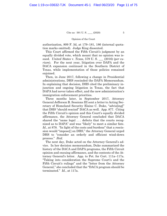#### Opinion of the Court

authorization, 809 F. 3d, at 179–181, 186 (internal quotation marks omitted). Judge King dissented.

This Court affirmed the Fifth Circuit's judgment by an equally divided vote, which meant that no opinion was issued. *United States* v. *Texas*, 579 U. S. \_\_\_ (2016) (*per curiam*). For the next year, litigation over DAPA and the DACA expansion continued in the Southern District of Texas, while implementation of those policies remained enjoined.

Then, in June 2017, following a change in Presidential administrations, DHS rescinded the DAPA Memorandum. In explaining that decision, DHS cited the preliminary injunction and ongoing litigation in Texas, the fact that DAPA had never taken effect, and the new administration's immigration enforcement priorities.

 nized as to DAPA" and was "likely" to meet a similar fate. Three months later, in September 2017, Attorney General Jefferson B. Sessions III sent a letter to Acting Secretary of Homeland Security Elaine C. Duke, "advis[ing]" that DHS "should rescind" DACA as well. App. 877. Citing the Fifth Circuit's opinion and this Court's equally divided affirmance, the Attorney General concluded that DACA shared the "same legal ... defects that the courts recog-*Id.*, at 878. "In light of the costs and burdens" that a rescission would "impose[] on DHS," the Attorney General urged DHS to "consider an orderly and efficient wind-down process." *Ibid.* 

The next day, Duke acted on the Attorney General's advice. In her decision memorandum, Duke summarized the history of the DACA and DAPA programs, the Fifth Circuit opinion and ensuing affirmance, and the contents of the Attorney General's letter. App. to Pet. for Cert. 111a–117a. "Taking into consideration the Supreme Court's and the Fifth Circuit's rulings" and the "letter from the Attorney General," she concluded that the "DACA program should be terminated." *Id.*, at 117a.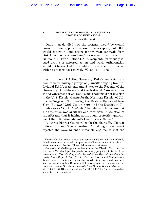Duke then detailed how the program would be wound down: No new applications would be accepted, but DHS would entertain applications for two-year renewals from DACA recipients whose benefits were set to expire within six months. For all other DACA recipients, previously issued grants of deferred action and work authorization would not be revoked but would expire on their own terms, with no prospect for renewal. *Id.*, at 117a–118a.

# B

Within days of Acting Secretary Duke's rescission announcement, multiple groups of plaintiffs ranging from individual DACA recipients and States to the Regents of the University of California and the National Association for the Advancement of Colored People challenged her decision in the U. S. District Courts for the Northern District of California (*Regents*, No. 18–587), the Eastern District of New York (*Batalla Vidal*, No. 18–589), and the District of Columbia (*NAACP*, No. 18–588). The relevant claims are that the rescission was arbitrary and capricious in violation of the APA and that it infringed the equal protection guarantee of the Fifth Amendment's Due Process Clause.1

All three District Courts ruled for the plaintiffs, albeit at different stages of the proceedings.<sup>2</sup> In doing so, each court rejected the Government's threshold arguments that the

<sup>&</sup>lt;sup>1</sup>Plaintiffs also raised notice and comment claims, which uniformly failed below, and assorted due process challenges, some of which survived motions to dismiss. Those claims are not before us. 2 In a related challenge not at issue here, the District Court for the

 pricious. *Casa de Maryland* v. *United States Dept. of Homeland Security*, District of Maryland granted partial summary judgment in favor of the Government. *Casa de Maryland* v. *United States Dept. of Homeland Security*, 284 F. Supp. 3d 758 (2018). After the Government filed petitions for certiorari in the instant cases, the Fourth Circuit reversed that decision and vacated Acting Secretary Duke's rescission as arbitrary and ca-924 F. 3d 684 (2019), cert. pending, No. 18–1469. The Fourth Circuit has since stayed its mandate.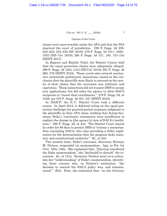#### Opinion of the Court

claims were unreviewable under the APA and that the INA deprived the court of jurisdiction. 298 F. Supp. 3d 209, 223–224, 234–235 (DC 2018); 279 F. Supp. 3d 1011, 1029– 1033 (ND Cal. 2018); 295 F. Supp. 3d 127, 150, 153–154 (EDNY 2017).

 that the equal protection claims were adequately alleged. In *Regents* and *Batalla Vidal*, the District Courts held 298 F. Supp. 3d 1304, 1315 (ND Cal. 2018); 291 F. Supp. 3d 260, 279 (EDNY 2018). Those courts also entered coextensive nationwide preliminary injunctions, based on the conclusion that the plaintiffs were likely to succeed on the merits of their claims that the rescission was arbitrary and capricious. These injunctions did not require DHS to accept new applications, but did order the agency to allow DACA recipients to "renew their enrollments." 279 F. Supp. 3d, at 1048; see 279 F. Supp. 3d 401, 437 (EDNY 2018).

In *NAACP*, the D. C. District Court took a different course. In April 2018, it deferred ruling on the equal protection challenge but granted partial summary judgment to the plaintiffs on their APA claim, holding that Acting Secretary Duke's "conclusory statements were insufficient to explain the change in [the agency's] view of DACA's lawfulness." 298 F. Supp. 3d, at 243. The District Court stayed its order for 90 days to permit DHS to "reissue a memorandum rescinding DACA, this time providing a fuller explanation for the determination that the program lacks statutory and constitutional authority." *Id.*, at 245.

Two months later, Duke's successor, Secretary Kirstjen M. Nielsen, responded via memorandum. App. to Pet. for Cert. 120a–126a. She explained that, "[h]aving considered the Duke memorandum," she "decline[d] to disturb" the rescission. *Id.*, at 121a. Secretary Nielsen went on to articulate her "understanding" of Duke's memorandum, identifying three reasons why, in Nielsen's estimation, "the decision to rescind the DACA policy was, and remains, sound." *Ibid.* First, she reiterated that, "as the Attorney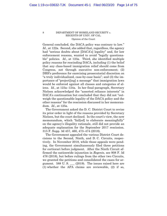ble" policies. *Id.*, at 123a. Third, she identified multiple General concluded, the DACA policy was contrary to law." Id., at 122a. Second, she added that, regardless, the agency had "serious doubts about [DACA's] legality" and, for law enforcement reasons, wanted to avoid "legally questionapolicy reasons for rescinding DACA, including (1) the belief that any class-based immigration relief should come from Congress, not through executive non-enforcement; (2) DHS's preference for exercising prosecutorial discretion on "a truly individualized, case-by-case basis"; and (3) the importance of "project[ing] a message" that immigration laws would be enforced against all classes and categories of aliens. *Id.*, at 123a–124a. In her final paragraph, Secretary Nielsen acknowledged the "asserted reliance interests" in DACA's continuation but concluded that they did not "outweigh the questionable legality of the DACA policy and the other reasons" for the rescission discussed in her memorandum. *Id.*, at 125a.

The Government asked the D. C. District Court to revise its prior order in light of the reasons provided by Secretary Nielsen, but the court declined. In the court's view, the new memorandum, which "fail[ed] to elaborate meaningfully" on the agency's illegality rationale, still did not provide an adequate explanation for the September 2017 rescission. 315 F. Supp. 3d 457, 460, 473–474 (2018).

The Government appealed the various District Court decisions to the Second, Ninth, and D. C. Circuits, respectively. In November 2018, while those appeals were pending, the Government simultaneously filed three petitions for certiorari before judgment. After the Ninth Circuit affirmed the nationwide injunction in *Regents*, see 908 F. 3d 476 (2018), but before rulings from the other two Circuits, we granted the petitions and consolidated the cases for argument.  $588 \text{ U.S.}$  (2019). The issues raised here are (1) whether the APA claims are reviewable, (2) if so,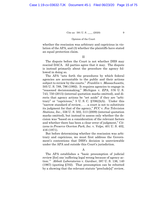#### Opinion of the Court

whether the rescission was arbitrary and capricious in violation of the APA, and (3) whether the plaintiffs have stated an equal protection claim.

# II

The dispute before the Court is not whether DHS may rescind DACA. All parties agree that it may. The dispute is instead primarily about the procedure the agency followed in doing so.

 "reasoned decisionmaking," *Michigan* v. *EPA*, 576 U. S. The APA "sets forth the procedures by which federal agencies are accountable to the public and their actions subject to review by the courts." *Franklin* v. *Massachusetts*, 505 U. S. 788, 796 (1992). It requires agencies to engage in 743, 750 (2015) (internal quotation marks omitted), and directs that agency actions be "set aside" if they are "arbitrary" or "capricious," 5 U. S. C. §706(2)(A). Under this "narrow standard of review, . . . a court is not to substitute its judgment for that of the agency," *FCC* v. *Fox Television Stations, Inc.*, 556 U. S. 502, 513 (2009) (internal quotation marks omitted), but instead to assess only whether the decision was "based on a consideration of the relevant factors and whether there has been a clear error of judgment," *Citizens to Preserve Overton Park, Inc.* v. *Volpe*, 401 U. S. 402, 416 (1971).

But before determining whether the rescission was arbitrary and capricious, we must first address the Government's contentions that DHS's decision is unreviewable under the APA and outside this Court's jurisdiction.

## A

The APA establishes a "basic presumption of judicial review [for] one 'suffering legal wrong because of agency action.'" *Abbott Laboratories* v. *Gardner*, 387 U. S. 136, 140 (1967) (quoting §702). That presumption can be rebutted by a showing that the relevant statute "preclude[s]" review,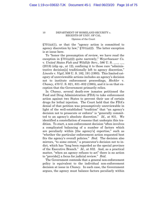$\S701(a)(1)$ , or that the "agency action is committed to agency discretion by law," §701(a)(2). The latter exception is at issue here.

To "honor the presumption of review, we have read the exception in §701(a)(2) quite narrowly," *Weyerhaeuser Co.*  v. *United States Fish and Wildlife Serv.*, 586 U. S. \_\_\_, \_\_\_  $(2018)$  (slip op., at 12), confining it to those rare "administrative decision[s] traditionally left to agency discretion," *Lincoln* v. *Vigil*, 508 U. S. 182, 191 (1993). This limited category of unreviewable actions includes an agency's decision not to institute enforcement proceedings, *Heckler* v. *Chaney*, 470 U. S. 821, 831–832 (1985), and it is on that exception that the Government primarily relies.

In *Chaney*, several death-row inmates petitioned the Food and Drug Administration (FDA) to take enforcement action against two States to prevent their use of certain drugs for lethal injection. The Court held that the FDA's denial of that petition was presumptively unreviewable in light of the well-established "tradition" that "an agency's decision not to prosecute or enforce" is "generally committed to an agency's absolute discretion." *Id.*, at 831. We identified a constellation of reasons that underpin this tradition. To start, a non-enforcement decision "often involves a complicated balancing of a number of factors which are peculiarly within [the agency's] expertise," such as "whether the particular enforcement action requested best fits the agency's overall policies." *Ibid.* The decision also mirrors, "to some extent," a prosecutor's decision not to indict, which has "long been regarded as the special province of the Executive Branch." *Id.*, at 832. And, as a practical matter, "when an agency refuses to act" there is no action to "provide[] a focus for judicial review." *Ibid*.

The Government contends that a general non-enforcement policy is equivalent to the individual non-enforcement decision at issue in *Chaney*. In each case, the Government argues, the agency must balance factors peculiarly within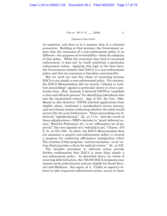#### Opinion of the Court

its expertise, and does so in a manner akin to a criminal prosecutor. Building on that premise, the Government argues that the rescission of a non-enforcement policy is no different—for purposes of reviewability—from the adoption of that policy. While the rescission may lead to increased enforcement, it does not, by itself, constitute a particular enforcement action. Applying this logic to the facts here, the Government submits that DACA is a non-enforcement policy and that its rescission is therefore unreviewable.

 ticular class. *Ibid*. Instead, it directed USCIS to "establish a program for conferring affirmative immigration relief. But we need not test this chain of reasoning because DACA is not simply a non-enforcement policy. For starters, the DACA Memorandum did not merely "refus[e] to institute proceedings" against a particular entity or even a para clear and efficient process" for identifying individuals who met the enumerated criteria. App. to Pet. for Cert. 100a. Based on this directive, USCIS solicited applications from eligible aliens, instituted a standardized review process, and sent formal notices indicating whether the alien would receive the two-year forbearance. These proceedings are effectively "adjudicat[ions]." *Id*., at 117a. And the result of these adjudications—DHS's decision to "grant deferred action," Brief for Petitioners 45—is an "affirmative act of approval," the very opposite of a "refus[al] to act," *Chaney*, 470 U. S., at 831–832. In short, the DACA Memorandum does not announce a passive non-enforcement policy; it created The creation of that program—and its rescission—is an "action [that] provides a focus for judicial review." *Id.*, at 832.

The benefits attendant to deferred action provide further confirmation that DACA is more than simply a non-enforcement policy. As described above, by virtue of receiving deferred action, the 700,000 DACA recipients may request work authorization and are eligible for Social Security and Medicare. See *supra*, at 3. Unlike an agency's refusal to take requested enforcement action, access to these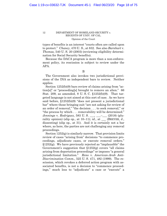types of benefits is an interest "courts often are called upon to protect." *Chaney*, 470 U. S., at 832. See also *Barnhart* v. *Thomas*, 540 U. S. 20 (2003) (reviewing eligibility determination for Social Security benefits).

Because the DACA program is more than a non-enforcement policy, its rescission is subject to review under the APA.

The Government also invokes two jurisdictional provisions of the INA as independent bars to review. Neither applies.

Section 1252(b)(9) bars review of claims arising from "action[s]" or "proceeding[s] brought to remove an alien." 66 Stat. 209, as amended, 8 U. S. C. §1252(b)(9). That targeted language is not aimed at this sort of case. As we have said before, §1252(b)(9) "does not present a jurisdictional bar" where those bringing suit "are not asking for review of an order of removal," "the decision . . . to seek removal," or "the process by which . . . removability will be determined." *Jennings v. Rodriguez*, 583 U.S. \_\_, \_\_\_ (2018) (plurality opinion) (slip op., at  $10-11$ ); *id.*, at \_\_\_ (BREYER, J., dissenting) (slip op., at 31). And it is certainly not a bar where, as here, the parties are not challenging any removal proceedings.

Section  $1252(g)$  is similarly narrow. That provision limits review of cases "arising from" decisions "to commence proceedings, adjudicate cases, or execute removal orders."  $§1252(g)$ . We have previously rejected as "implausible" the Government's suggestion that  $$1252(g)$  covers "all claims" arising from deportation proceedings" or imposes "a general jurisdictional limitation." *Reno* v. *American-Arab Anti-Discrimination Comm.*, 525 U. S. 471, 482 (1999). The rescission, which revokes a deferred action program with associated benefits, is not a decision to "commence proceedings," much less to "adjudicate" a case or "execute" a

B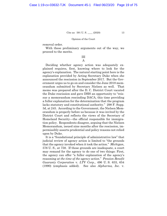#### Opinion of the Court

removal order.

With these preliminary arguments out of the way, we proceed to the merits.

## III A

Deciding whether agency action was adequately explained requires, first, knowing where to look for the agency's explanation. The natural starting point here is the explanation provided by Acting Secretary Duke when she announced the rescission in September 2017. But the Government urges us to go on and consider the June 2018 memorandum submitted by Secretary Nielsen as well. That memo was prepared after the D. C. District Court vacated the Duke rescission and gave DHS an opportunity to "reissue a memorandum rescinding DACA, this time providing a fuller explanation for the determination that the program lacks statutory and constitutional authority." 298 F. Supp. 3d, at 245. According to the Government, the Nielsen Memorandum is properly before us because it was invited by the District Court and reflects the views of the Secretary of Homeland Security—the official responsible for immigration policy. Respondents disagree, arguing that the Nielsen Memorandum, issued nine months after the rescission, impermissibly asserts prudential and policy reasons not relied upon by Duke.

It is a "foundational principle of administrative law" that judicial review of agency action is limited to "the grounds that the agency invoked when it took the action." *Michigan*, 576 U. S., at 758. If those grounds are inadequate, a court may remand for the agency to do one of two things: First, the agency can offer "a fuller explanation of the agency's reasoning *at the time of the agency action*." *Pension Benefit Guaranty Corporation* v. *LTV Corp.*, 496 U. S. 633, 654 (1990) (emphasis added). See also *Alpharma, Inc.* v.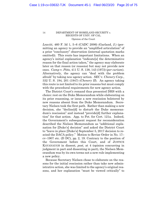omitted)). This route has important limitations. When an ones. *Camp* v. *Pitts*, 411 U. S. 138, 143 (1973) (*per curiam*). *Leavitt*, 460 F. 3d 1, 5–6 (CADC 2006) (Garland, J.) (permitting an agency to provide an "amplified articulation" of a prior "conclusory" observation (internal quotation marks agency's initial explanation "indicate[s] the determinative reason for the final action taken," the agency may elaborate later on that reason (or reasons) but may not provide new Alternatively, the agency can "deal with the problem afresh" by taking *new* agency action. *SEC* v. *Chenery Corp.*, 332 U. S. 194, 201 (1947) (*Chenery II*). An agency taking this route is not limited to its prior reasons but must comply with the procedural requirements for new agency action.

The District Court's remand thus presented DHS with a choice: rest on the Duke Memorandum while elaborating on its prior reasoning, or issue a new rescission bolstered by new reasons absent from the Duke Memorandum. Secretary Nielsen took the first path. Rather than making a new decision, she "decline[d] to disturb the Duke memorandum's rescission" and instead "provide[d] further explanation" for that action. App. to Pet. for Cert. 121a. Indeed, the Government's subsequent request for reconsideration described the Nielsen Memorandum as "additional explanation for [Duke's] decision" and asked the District Court to "leave in place [Duke's] September 5, 2017 decision to rescind the DACA policy." Motion to Revise Order in No. 17– cv–1907 etc. (D DC), pp. 2, 19. Contrary to the position of the Government before this Court, and of JUSTICE KAVANAUGH in dissent, *post*, at 4 (opinion concurring in judgment in part and dissenting in part), the Nielsen Memorandum was by its own terms not a new rule implementing a new policy.

Because Secretary Nielsen chose to elaborate on the reasons for the initial rescission rather than take new administrative action, she was limited to the agency's original reasons, and her explanation "must be viewed critically" to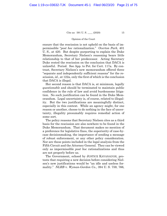#### Opinion of the Court

ensure that the rescission is not upheld on the basis of impermissible "*post hoc* rationalization." *Overton Park*, 401 U. S., at 420. But despite purporting to explain the Duke Memorandum, Secretary Nielsen's reasoning bears little relationship to that of her predecessor. Acting Secretary Duke rested the rescission on the conclusion that DACA is unlawful. Period. See App. to Pet. for Cert. 117a. By contrast, Secretary Nielsen's new memorandum offered three "separate and independently sufficient reasons" for the rescission, *id.*, at 122a, only the first of which is the conclusion that DACA is illegal.

Her second reason is that DACA is, at minimum, legally *questionable* and should be terminated to maintain public confidence in the rule of law and avoid burdensome litigation. No such justification can be found in the Duke Memorandum. Legal uncertainty is, of course, related to illegality. But the two justifications are meaningfully distinct, especially in this context. While an agency might, for one reason or another, choose to do nothing in the face of uncertainty, illegality presumably requires remedial action of some sort.

The policy reasons that Secretary Nielsen cites as a third basis for the rescission are also nowhere to be found in the Duke Memorandum. That document makes no mention of a preference for legislative fixes, the superiority of case-bycase decisionmaking, the importance of sending a message of robust enforcement, or any other policy consideration. Nor are these points included in the legal analysis from the Fifth Circuit and the Attorney General. They can be viewed only as impermissible *post hoc* rationalizations and thus are not properly before us.

The Government, echoed by JUSTICE KAVANAUGH, protests that requiring a new decision before considering Nielsen's new justifications would be "an idle and useless formality." *NLRB* v. *Wyman-Gordon Co.*, 394 U. S. 759, 766,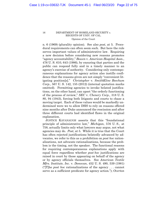n. 6 (1969) (plurality opinion). See also *post*, at 5. Procedural requirements can often seem such. But here the rule serves important values of administrative law. Requiring a new decision before considering new reasons promotes "agency accountability," *Bowen* v. *American Hospital Assn.*, 476 U. S. 610, 643 (1986), by ensuring that parties and the public can respond fully and in a timely manner to an agency's exercise of authority. Considering only contemporaneous explanations for agency action also instills confidence that the reasons given are not simply "convenient litigating position[s]." *Christopher* v. *SmithKline Beecham Corp.*, 567 U. S. 142, 155 (2012) (internal quotation marks omitted). Permitting agencies to invoke belated justifications, on the other hand, can upset "the orderly functioning of the process of review," *SEC* v. *Chenery Corp.,* 318 U. S. 80, 94 (1943), forcing both litigants and courts to chase a moving target. Each of these values would be markedly undermined were we to allow DHS to rely on reasons offered nine months after Duke announced the rescission and after three different courts had identified flaws in the original explanation.

JUSTICE KAVANAUGH asserts that this "foundational principle of administrative law," *Michigan*, 576 U. S., at 758, actually limits only what lawyers may argue, not what agencies may do. *Post*, at 5. While it is true that the Court has often rejected justifications belatedly advanced by advocates, we refer to this as a prohibition on *post hoc* rationalizations, not advocate rationalizations, because the problem is the timing, not the speaker. The functional reasons for requiring contemporaneous explanations apply with equal force regardless whether *post hoc* justifications are raised in court by those appearing on behalf of the agency or by agency officials themselves. See *American Textile Mfrs. Institute, Inc.* v. *Donovan*, 452 U. S. 490, 539 (1981) ("[T]he *post hoc* rationalizations of the agency . . . cannot serve as a sufficient predicate for agency action."); *Overton*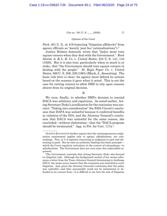#### Opinion of the Court

*Park*, 401 U. S., at 419 (rejecting "litigation affidavits" from agency officials as "merely '*post hoc*' rationalizations").3

Justice Holmes famously wrote that "[m]en must turn square corners when they deal with the Government." *Rock Island, A. & L. R. Co.* v. *United States*, 254 U. S. 141, 143 (1920). But it is also true, particularly when so much is at stake, that "the Government should turn square corners in dealing with the people." *St. Regis Paper Co.* v. *United States*, 368 U. S. 208, 229 (1961) (Black, J., dissenting). The basic rule here is clear: An agency must defend its actions based on the reasons it gave when it acted. This is not the case for cutting corners to allow DHS to rely upon reasons absent from its original decision.

B

We turn, finally, to whether DHS's decision to rescind DACA was arbitrary and capricious. As noted earlier, Acting Secretary Duke's justification for the rescission was succinct: "Taking into consideration" the Fifth Circuit's conclusion that DAPA was unlawful because it conferred benefits in violation of the INA, and the Attorney General's conclusion that DACA was unlawful for the same reason, she concluded—without elaboration—that the "DACA program should be terminated." App. to Pet. for Cert. 117a.4

 senting in part). But he cites no authority limiting this basic principle— <sup>3</sup> JUSTICE KAVANAUGH further argues that the contemporaneous explanation requirement applies only to agency adjudications, not rulemakings. *Post*, at 5–6 (opinion concurring in judgment in part and diswhich the Court regularly articulates in the context of rulemakings—to adjudications. The Government does not even raise this unheralded argument. 4The Government contends that Acting Secretary Duke also focused

on litigation risk. Although the background section of her memo references a letter from the Texas Attorney General threatening to challenge DACA, the memo never asserts that the rescission was intended to avert litigation. And, given the Attorney General's conclusion that the policy was unlawful—and thus presumably could not be maintained or defended in its current form—it is difficult to see how the risk of litigation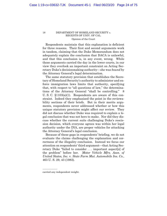Respondents maintain that this explanation is deficient for three reasons. Their first and second arguments work in tandem, claiming that the Duke Memorandum does not adequately explain the conclusion that DACA is unlawful, and that this conclusion is, in any event, wrong. While those arguments carried the day in the lower courts, in our view they overlook an important constraint on Acting Secretary Duke's decisionmaking authority—she was *bound* by the Attorney General's legal determination.

The same statutory provision that establishes the Secretary of Homeland Security's authority to administer and enforce immigration laws limits that authority, specifying that, with respect to "all questions of law," the determinations of the Attorney General "shall be controlling." 8 U. S. C. §1103(a)(1). Respondents are aware of this constraint. Indeed they emphasized the point in the reviewability sections of their briefs. But in their merits arguments, respondents never addressed whether or how this unique statutory provision might affect our review. They did not discuss whether Duke was required to explain a legal conclusion that was not hers to make. Nor did they discuss whether the current suits challenging Duke's rescission decision, which everyone agrees was within her legal authority under the INA, are proper vehicles for attacking the Attorney General's legal conclusion.

Because of these gaps in respondents' briefing, we do not evaluate the claims challenging the explanation and correctness of the illegality conclusion. Instead we focus our attention on respondents' third argument—that Acting Secretary Duke "failed to consider . . . important aspect[s] of the problem" before her. *Motor Vehicle Mfrs. Assn. of United States, Inc.* v. *State Farm Mut. Automobile Ins. Co.*, 463 U. S. 29, 43 (1983).

——————

carried any independent weight.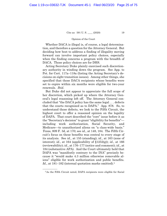#### Opinion of the Court

Whether DACA is illegal is, of course, a legal determination, and therefore a question for the Attorney General. But deciding how best to address a finding of illegality moving forward can involve important policy choices, especially when the finding concerns a program with the breadth of DACA. Those policy choices are for DHS.

 cisions on eight transition issues). Among other things, she Acting Secretary Duke plainly exercised such discretionary authority in winding down the program. See App. to Pet. for Cert. 117a–118a (listing the Acting Secretary's despecified that those DACA recipients whose benefits were set to expire within six months were eligible for two-year renewals. *Ibid*.

But Duke did not appear to appreciate the full scope of her discretion, which picked up where the Attorney General's legal reasoning left off. The Attorney General concluded that "the DACA policy has the same legal . . . defects that the courts recognized as to DAPA." App. 878. So, to understand those defects, we look to the Fifth Circuit, the highest court to offer a reasoned opinion on the legality of DAPA. That court described the "core" issue before it as the "Secretary's decision" to grant "eligibility for benefits" including work authorization, Social Security, and Medicare—to unauthorized aliens on "a class-wide basis." *Texas*, 809 F. 3d, at 170; see *id.,* at 148, 184. The Fifth Circuit's focus on these benefits was central to every stage of its analysis. See *id.,* at 155 (standing); *id.*, at 163 (zone of interest); *id.*, at 164 (applicability of §1252(g)); *id.*, at 166 (reviewability); *id.*, at 176–177 (notice and comment); *id.*, at 184 (substantive APA). And the Court ultimately held that DAPA was "manifestly contrary to the INA" precisely because it "would make 4.3 million otherwise removable aliens" eligible for work authorization and public benefits. Id., at 181–182 (internal quotation marks omitted).<sup>5</sup>

<sup>&</sup>lt;sup>5</sup>As the Fifth Circuit noted, DAPA recipients were eligible for Social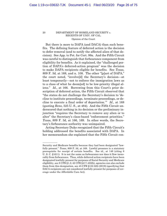——————

# 20 DEPARTMENT OF HOMELAND SECURITY *v.*  REGENTS OF UNIV. OF CAL. Opinion of the Court

But there is more to DAPA (and DACA) than such benefits. The defining feature of deferred action is the decision to defer removal (and to notify the affected alien of that decision). See App. to Pet. for Cert. 99a. And the Fifth Circuit was careful to distinguish that forbearance component from eligibility for benefits. As it explained, the "challenged portion of DAPA's deferred-action program" was the decision to make DAPA recipients eligible for benefits. See *Texas*, 809 F. 3d, at 168, and n. 108. The other "[p]art of DAPA," the court noted, "involve[d] the Secretary's decision—at least temporarily—not to enforce the immigration laws as to a class of what he deem[ed] to be low-priority illegal aliens." *Id.*, at 166. Borrowing from this Court's prior description of deferred action, the Fifth Circuit observed that "the states do not challenge the Secretary's decision to 'decline to institute proceedings, terminate proceedings, or decline to execute a final order of deportation.'" *Id.*, at 168 (quoting *Reno*, 525 U. S., at 484). And the Fifth Circuit underscored that nothing in its decision or the preliminary injunction "requires the Secretary to remove any alien or to alter" the Secretary's class-based "enforcement priorities." *Texas*, 809 F. 3d, at 166, 169. In other words, the Secretary's forbearance authority was unimpaired.

Acting Secretary Duke recognized that the Fifth Circuit's holding addressed the benefits associated with DAPA. In her memorandum she explained that the Fifth Circuit con-

Security and Medicare benefits because they had been designated "lawfully present." *Texas*, 809 F. 3d, at 168. Lawful presence is a statutory prerequisite for receipt of certain benefits. See *id.,* at 148 (citing 8 U. S. C. §1611). It is not the same as forbearance nor does it flow inexorably from forbearance. Thus, while deferred action recipients have been designated lawfully present for purposes of Social Security and Medicare eligibility, see 8 CFR §1.3; 42 CFR §417.422(h), agencies can also exclude them from this designation, see 45 CFR §152.2(8) (2019) (specifying that DACA recipients are not considered lawfully present for purposes of coverage under the Affordable Care Act).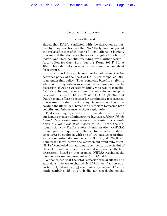#### Opinion of the Court

cluded that DAPA "conflicted with the discretion authorized by Congress" because the INA "'flatly does not permit the reclassification of millions of illegal aliens as lawfully present and thereby make them newly eligible for a host of federal and state benefits, including work authorization.'" App. to Pet. for Cert. 114a (quoting *Texas*, 809 F. 3d, at 184). Duke did not characterize the opinion as one about forbearance.

 Duke's memo offers no reason for terminating forbearance. In short, the Attorney General neither addressed the forbearance policy at the heart of DACA nor compelled DHS to abandon that policy. Thus, removing benefits eligibility while continuing forbearance remained squarely within the discretion of Acting Secretary Duke, who was responsible for "[e]stablishing national immigration enforcement policies and priorities." 116 Stat. 2178, 6 U. S. C. §202(5). But She instead treated the Attorney General's conclusion regarding the illegality of benefits as sufficient to rescind both benefits and forbearance, without explanation.

That reasoning repeated the error we identified in one of our leading modern administrative law cases, *Motor Vehicle Manufacturers Association of the United States, Inc.* v. *State Farm Mutual Automobile Insurance Co.* There, the National Highway Traffic Safety Administration (NHTSA) promulgated a requirement that motor vehicles produced after 1982 be equipped with one of two passive restraints: airbags or automatic seatbelts. 463 U. S., at 37–38, 46. Four years later, before the requirement went into effect, NHTSA concluded that automatic seatbelts, the restraint of choice for most manufacturers, would not provide effective protection. Based on that premise, NHTSA rescinded the passive restraint requirement in full. *Id.*, at 38.

We concluded that the total rescission was arbitrary and capricious. As we explained, NHTSA's justification supported only "disallow[ing] compliance by means of" automatic seatbelts. *Id.*, at 47. It did "not cast doubt" on the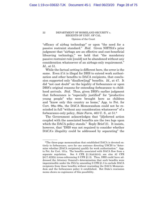"efficacy of airbag technology" or upon "the need for a passive restraint standard." *Ibid.* Given NHTSA's prior judgment that "airbags are an effective and cost-beneficial lifesaving technology," we held that "the mandatory passive restraint rule [could] not be abandoned without any consideration whatsoever of an airbags-only requirement." *Id.*, at 51.

While the factual setting is different here, the error is the same. Even if it is illegal for DHS to extend work authorization and other benefits to DACA recipients, that conclusion supported only "disallow[ing]" benefits. *Id.*, at 47. It did "not cast doubt" on the legality of forbearance or upon DHS's original reasons for extending forbearance to childhood arrivals. *Ibid.* Thus, given DHS's earlier judgment that forbearance is "especially justified" for "productive young people" who were brought here as children and "know only this country as home," App. to Pet. for Cert. 98a–99a, the DACA Memorandum could not be rescinded in full "without any consideration whatsoever" of a forbearance-only policy, *State Farm*, 463 U. S., at 51.6

The Government acknowledges that "[d]eferred action coupled with the associated benefits are the two legs upon which the DACA policy stands." Reply Brief 21. It insists, however, that "DHS was not required to consider whether DACA's illegality could be addressed by separating" the

 ${}^6$ The three-page memorandum that established DACA is devoted entirely to forbearance, save for one sentence directing USCIS to "determine whether [DACA recipients] qualify for work authorization." App. to Pet. for Cert. 101a. The benefits associated with DACA flow from a separate regulation. See 8 CFR §1.3(a)(4)(vi); see also 42 CFR §417.422(h) (cross-referencing 8 CFR §1.3). Thus, DHS could have addressed the Attorney General's determination that such benefits were impermissible under the INA by amending 8 CFR §1.3 to exclude DACA recipients from those benefits without rescinding the DACA Memorandum and the forbearance policy it established. But Duke's rescission memo shows no cognizance of this possibility.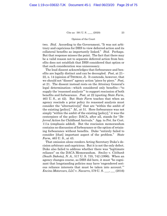#### Opinion of the Court

 two. *Ibid.* According to the Government, "It was not arbitrary and capricious for DHS to view deferred action and its collateral benefits as importantly linked." *Ibid.* Perhaps. But that response misses the point. The fact that there may be a valid reason not to separate deferred action from benefits does not establish that DHS considered that option or that such consideration was unnecessary.

The lead dissent acknowledges that forbearance and benefits are legally distinct and can be decoupled. *Post*, at 21– 22, n. 14 (opinion of THOMAS, J). It contends, however, that we should not "dissect" agency action "piece by piece." *Post,*  at 21. The dissent instead rests on the Attorney General's legal determination—which considered only benefits—"to supply the 'reasoned analysis'" to support rescission of both benefits and forbearance. *Post,* at 22 (quoting *State Farm*, 463 U. S., at 42). But *State Farm* teaches that when an agency rescinds a prior policy its reasoned analysis must consider the "alternative[s]" that are "within the ambit of the existing [policy]." *Id.*, at 51. Here forbearance was not simply "within the ambit of the existing [policy]," it was the centerpiece of the policy: DACA, after all, stands for "*Deferred Action* for Childhood Arrivals." App. to Pet. for Cert. 111a (emphasis added). But the rescission memorandum contains no discussion of forbearance or the option of retaining forbearance without benefits. Duke "entirely failed to consider [that] important aspect of the problem." *State Farm*, 463 U. S., at 43.

That omission alone renders Acting Secretary Duke's decision arbitrary and capricious. But it is not the only defect. Duke also failed to address whether there was "legitimate reliance" on the DACA Memorandum. *Smiley* v. *Citibank (South Dakota), N. A.*, 517 U. S. 735, 742 (1996). When an agency changes course, as DHS did here, it must "be cognizant that longstanding policies may have 'engendered serious reliance interests that must be taken into account.'" *Encino Motorcars, LLC* v. *Navarro*, 579 U. S. \_\_\_, \_\_\_ (2016)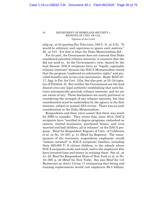(slip op., at 9) (quoting *Fox Television*, 556 U. S., at 515). "It would be arbitrary and capricious to ignore such matters." *Id*., at 515. Yet that is what the Duke Memorandum did.

For its part, the Government does not contend that Duke considered potential reliance interests; it counters that she did not need to. In the Government's view, shared by the lead dissent, DACA recipients have no "legally cognizable reliance interests" because the DACA Memorandum stated that the program "conferred no substantive rights" and provided benefits only in two-year increments. Reply Brief 16– 17; App. to Pet. for Cert. 125a. See also *post*, at 23–24 (opinion of THOMAS, J). But neither the Government nor the lead dissent cites any legal authority establishing that such features automatically preclude reliance interests, and we are not aware of any. These disclaimers are surely pertinent in considering the strength of any reliance interests, but that consideration must be undertaken by the agency in the first instance, subject to normal APA review. There was no such consideration in the Duke Memorandum.

Respondents and their *amici* assert that there was much for DHS to consider. They stress that, since 2012, DACA recipients have "enrolled in degree programs, embarked on careers, started businesses, purchased homes, and even married and had children, all in reliance" on the DACA program. Brief for Respondent Regents of Univ. of California et al. in No. 18–587, p. 41 (Brief for Regents). The consequences of the rescission, respondents emphasize, would "radiate outward" to DACA recipients' families, including their 200,000 U. S.-citizen children, to the schools where DACA recipients study and teach, and to the employers who have invested time and money in training them. See *id.*, at 41–42; Brief for Respondent State of New York et al. in No. 18–589, p. 42 (Brief for New York). See also Brief for 143 Businesses as *Amici Curiae* 17 (estimating that hiring and training replacements would cost employers \$6.3 billion).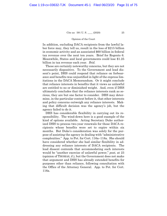#### Opinion of the Court

In addition, excluding DACA recipients from the lawful labor force may, they tell us, result in the loss of \$215 billion in economic activity and an associated \$60 billion in federal tax revenue over the next ten years. Brief for Regents 6. Meanwhile, States and local governments could lose \$1.25 billion in tax revenue each year. *Ibid.* 

These are certainly noteworthy concerns, but they are not necessarily dispositive. To the Government and lead dissent's point, DHS could respond that reliance on forbearance and benefits was unjustified in light of the express limitations in the DACA Memorandum. Or it might conclude that reliance interests in benefits that it views as unlawful are entitled to no or diminished weight. And, even if DHS ultimately concludes that the reliance interests rank as serious, they are but one factor to consider. DHS may determine, in the particular context before it, that other interests and policy concerns outweigh any reliance interests. Making that difficult decision was the agency's job, but the agency failed to do it.

DHS has considerable flexibility in carrying out its responsibility. The wind-down here is a good example of the kind of options available. Acting Secretary Duke authorized DHS to process two-year renewals for those DACA recipients whose benefits were set to expire within six months. But Duke's consideration was solely for the purpose of assisting the agency in dealing with "administrative complexities." App. to Pet. for Cert. 116a–118a. She should have considered whether she had similar flexibility in addressing any reliance interests of DACA recipients. The lead dissent contends that accommodating such interests would be "another exercise of unlawful power," *post*, at 23 (opinion of THOMAS, J.), but the Government does not make that argument and DHS has already extended benefits for purposes other than reliance, following consultation with the Office of the Attorney General. App. to Pet. for Cert. 116a.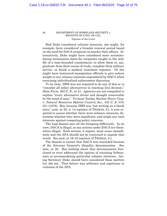Had Duke considered reliance interests, she might, for example, have considered a broader renewal period based on the need for DACA recipients to reorder their affairs. Alternatively, Duke might have considered more accommodating termination dates for recipients caught in the middle of a time-bounded commitment, to allow them to, say, graduate from their course of study, complete their military service, or finish a medical treatment regimen. Or she might have instructed immigration officials to give salient weight to any reliance interests engendered by DACA when exercising individualized enforcement discretion.

To be clear, DHS was not required to do any of this or to "consider all policy alternatives in reaching [its] decision." *State Farm*, 463 U. S., at 51. Agencies are not compelled to explore "every alternative device and thought conceivable by the mind of man." *Vermont Yankee Nuclear Power Corp.*  v. *Natural Resources Defense Council, Inc.*, 435 U. S. 519, 551 (1978). But, because DHS was "not writing on a blank slate," *post,* at 22, n. 14 (opinion of THOMAS, J.), it *was* required to assess whether there were reliance interests, determine whether they were significant, and weigh any such interests against competing policy concerns.

The lead dissent sees all the foregoing differently. In its view, DACA is illegal, so any actions under DACA are themselves illegal. Such actions, it argues, must cease immediately and the APA should not be construed to impede that result. See *post*, at 19–23 (opinion of THOMAS, J.).

The dissent is correct that DACA was rescinded because of the Attorney General's illegality determination. See *ante*, at 20. But nothing about that determination foreclosed or even addressed the options of retaining forbearance or accommodating particular reliance interests. Acting Secretary Duke should have considered those matters but did not. That failure was arbitrary and capricious in violation of the APA.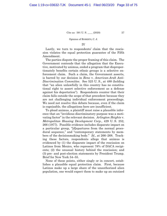#### Opinion of ROBERTS, C. J.

#### IV

Lastly, we turn to respondents' claim that the rescission violates the equal protection guarantee of the Fifth Amendment.

The parties dispute the proper framing of this claim. The Government contends that the allegation that the Executive, motivated by animus, ended a program that disproportionately benefits certain ethnic groups is a selective enforcement claim. Such a claim, the Government asserts, is barred by our decision in *Reno* v. *American-Arab Anti-Discrimination Committee*. See 525 U. S., at 488 (holding that "an alien unlawfully in this country has no constitutional right to assert selective enforcement as a defense against his deportation"). Respondents counter that their claim falls outside the scope of that precedent because they are not challenging individual enforcement proceedings. We need not resolve this debate because, even if the claim is cognizable, the allegations here are insufficient.

To plead animus, a plaintiff must raise a plausible inference that an "invidious discriminatory purpose was a motivating factor" in the relevant decision. *Arlington Heights* v. *Metropolitan Housing Development Corp.*, 429 U. S. 252, 266 (1977). Possible evidence includes disparate impact on a particular group, "[d]epartures from the normal procedural sequence," and "contemporary statements by members of the decisionmaking body." *Id.*, at 266–268. Tracking these factors, respondents allege that animus is evidenced by (1) the disparate impact of the rescission on Latinos from Mexico, who represent 78% of DACA recipients; (2) the unusual history behind the rescission; and (3) pre- and post-election statements by President Trump. Brief for New York 54–55.

None of these points, either singly or in concert, establishes a plausible equal protection claim. First, because Latinos make up a large share of the unauthorized alien population, one would expect them to make up an outsized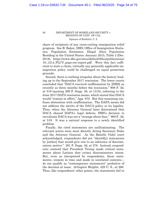Opinion of ROBERTS, C. J. 28 DEPARTMENT OF HOMELAND SECURITY *v.*  REGENTS OF UNIV. OF CAL.

share of recipients of any cross-cutting immigration relief program. See B. Baker, DHS, Office of Immigration Statistics, Population Estimates, Illegal Alien Population Residing in the United States: January 2015, Table 2 (Dec. 2018), https://www.dhs.gov/sites/default/files/publications/ 18\_1214\_PLCY\_pops-est-report.pdf. Were this fact sufficient to state a claim, virtually any generally applicable immigration policy could be challenged on equal protection grounds.

Second, there is nothing irregular about the history leading up to the September 2017 rescission. The lower courts concluded that "DACA received reaffirmation by [DHS] as recently as three months before the rescission," 908 F. 3d, at 519 (quoting 298 F. Supp. 3d, at 1315), referring to the June 2017 DAPA rescission memo, which stated that DACA would "remain in effect," App. 870. But this reasoning confuses abstention with reaffirmation. The DAPA memo did not address the merits of the DACA policy or its legality. Thus, when the Attorney General later determined that DACA shared DAPA's legal defects, DHS's decision to reevaluate DACA was not a "strange about-face." 908 F. 3d, at 519. It was a natural response to a newly identified problem.

 ments about Latinos that evince discriminatory intent. the decision at issue. Arlington Heights, 429 U.S., at 268. Finally, the cited statements are unilluminating. The relevant actors were most directly Acting Secretary Duke and the Attorney General. As the *Batalla Vidal* court acknowledged, respondents did not "identif[y] statements by [either] that would give rise to an inference of discriminatory motive." 291 F. Supp. 3d, at 278. Instead, respondents contend that President Trump made critical state-But, even as interpreted by respondents, these statements—remote in time and made in unrelated contexts do not qualify as "contemporary statements" probative of Thus, like respondents' other points, the statements fail to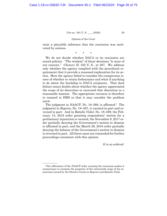#### Opinion of the Court

raise a plausible inference that the rescission was motivated by animus.

\* \* \*

We do not decide whether DACA or its rescission are sound policies. "The wisdom" of those decisions "is none of our concern." *Chenery II*, 332 U. S., at 207. We address only whether the agency complied with the procedural requirement that it provide a reasoned explanation for its action. Here the agency failed to consider the conspicuous issues of whether to retain forbearance and what if anything to do about the hardship to DACA recipients. That dual failure raises doubts about whether the agency appreciated the scope of its discretion or exercised that discretion in a reasonable manner. The appropriate recourse is therefore to remand to DHS so that it may consider the problem anew.

The judgment in *NAACP*, No. 18–588, is affirmed.7 The judgment in *Regents*, No. 18–587, is vacated in part and reversed in part. And in *Batalla Vidal*, No. 18–589, the February 13, 2018 order granting respondents' motion for a preliminary injunction is vacated, the November 9, 2017 order partially denying the Government's motion to dismiss is affirmed in part, and the March 29, 2018 order partially denying the balance of the Government's motion to dismiss is reversed in part. All three cases are remanded for further proceedings consistent with this opinion.

*It is so ordered.* 

<sup>&</sup>lt;sup>7</sup>Our affirmance of the *NAACP* order vacating the rescission makes it unnecessary to examine the propriety of the nationwide scope of the injunctions issued by the District Courts in *Regents* and *Batalla Vidal*.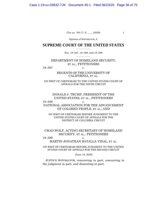Opinion of SOTOMAYOR, J.

# $\frac{1}{2}$  ,  $\frac{1}{2}$  ,  $\frac{1}{2}$  ,  $\frac{1}{2}$  ,  $\frac{1}{2}$  ,  $\frac{1}{2}$  ,  $\frac{1}{2}$ **SUPREME COURT OF THE UNITED STATES**

 $\frac{1}{2}$  ,  $\frac{1}{2}$  ,  $\frac{1}{2}$  ,  $\frac{1}{2}$  ,  $\frac{1}{2}$  ,  $\frac{1}{2}$ Nos. 18–587, 18–588, and 18–589

# DEPARTMENT OF HOMELAND SECURITY, ET AL., PETITIONERS

18–587 *v.* 

## REGENTS OF THE UNIVERSITY OF CALIFORNIA, ET AL.

ON WRIT OF CERTIORARI TO THE UNITED STATES COURT OF APPEALS FOR THE NINTH CIRCUIT

# DONALD J. TRUMP, PRESIDENT OF THE UNITED STATES, ET AL., PETITIONERS 18–588 *v.*  NATIONAL ASSOCIATION FOR THE ADVANCEMENT OF COLORED PEOPLE, ET AL.; AND

ON WRIT OF CERTIORARI BEFORE JUDGMENT TO THE UNITED STATES COURT OF APPEALS FOR THE DISTRICT OF COLUMBIA CIRCUIT

# CHAD WOLF, ACTING SECRETARY OF HOMELAND SECURITY, ET AL., PETITIONERS

18–589 *v.*  MARTIN JONATHAN BATALLA VIDAL, ET AL.

ON WRIT OF CERTIORARI BEFORE JUDGMENT TO THE UNITED STATES COURT OF APPEALS FOR THE SECOND CIRCUIT

[June 18, 2020]

 JUSTICE SOTOMAYOR, concurring in part, concurring in the judgment in part, and dissenting in part.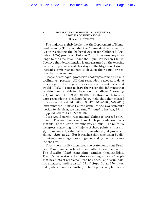## 2 DEPARTMENT OF HOMELAND SECURITY *v.*  REGENTS OF UNIV. OF CAL. Opinion of SOTOMAYOR, J.

 lenge to the rescission under the Equal Protection Clause. The majority rightly holds that the Department of Homeland Security (DHS) violated the Administrative Procedure Act in rescinding the Deferred Action for Childhood Arrivals (DACA) program. But the Court forecloses any chal-I believe that determination is unwarranted on the existing record and premature at this stage of the litigation. I would instead permit respondents to develop their equal protection claims on remand.

 Respondents' equal protection challenges come to us in a preliminary posture. All that respondents needed to do at this stage of the litigation was state sufficient facts that would "allo[w a] court to draw the reasonable inference that [a] defendant is liable for the misconduct alleged." *Ashcroft*  v. *Iqbal*, 556 U. S. 662, 678 (2009). The three courts to evaluate respondents' pleadings below held that they cleared this modest threshold. 908 F. 3d 476, 518–520 (CA9 2018) (affirming the District Court's denial of the Government's motion to dismiss); see also *Batalla Vidal* v. *Nielsen*, 291 F. Supp. 3d 260, 274 (EDNY 2018).

I too would permit respondents' claims to proceed on remand. The complaints each set forth particularized facts that plausibly allege discriminatory animus. The plurality disagrees, reasoning that "[n]one of these points, either singly or in concert, establishes a plausible equal protection claim." *Ante*, at 27. But it reaches that conclusion by discounting some allegations altogether and by narrowly viewing the rest.

 dent Trump made both before and after he assumed office. First, the plurality dismisses the statements that Presi-The *Batalla Vidal* complaints catalog then-candidate Trump's declarations that Mexican immigrants are "people that have lots of problems," "the bad ones," and "criminals, drug dealers, [and] rapists." 291 F. Supp. 3d, at 276 (internal quotation marks omitted). The *Regents* complaints ad-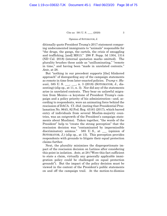#### Opinion of SOTOMAYOR, J.

ditionally quote President Trump's 2017 statement comparing undocumented immigrants to "animals" responsible for "the drugs, the gangs, the cartels, the crisis of smuggling and trafficking, [and] MS13." 298 F. Supp. 3d 1304, 1314 (ND Cal. 2018) (internal quotation marks omitted). The plurality brushes these aside as "unilluminating," "remote in time," and having been "made in unrelated contexts." *Ante*, at 28.

But "nothing in our precedent supports [the] blinkered approach" of disregarding any of the campaign statements as remote in time from later-enacted policies. *Trump* v. *Hawaii*, 585 U.S. <sub>\_\_\_</sub>, \_\_\_, n. 3 (2018) (SOTOMAYOR, J., dissenting) (slip op., at 11, n. 3). Nor did any of the statements arise in unrelated contexts. They bear on unlawful migration from Mexico—a keystone of President Trump's campaign and a policy priority of his administration—and, according to respondents, were an animating force behind the rescission of DACA. Cf. *ibid.* (noting that Presidential Proclamation No. 9645, 82 Fed. Reg. 45161 (2017), which barred entry of individuals from several Muslim-majority countries, was an outgrowth of the President's campaign statements about Muslims)*.* Taken together, "the words of the President" help to "create the strong perception" that the rescission decision was "contaminated by impermissible discriminatory animus." 585 U. S.*,* at \_\_\_ (opinion of SOTOMAYOR, J.) (slip op., at 13). This perception provides respondents with grounds to litigate their equal protection claims further.

Next, the plurality minimizes the disproportionate impact of the rescission decision on Latinos after considering this point in isolation. *Ante*, at 28 ("Were this fact sufficient to state a claim, virtually any generally applicable immigration policy could be challenged on equal protection grounds"). But the impact of the policy decision must be viewed in the context of the President's public statements on and off the campaign trail. At the motion-to-dismiss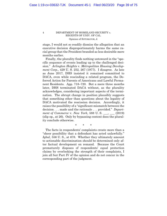## 4 DEPARTMENT OF HOMELAND SECURITY *v.*  REGENTS OF UNIV. OF CAL. Opinion of SOTOMAYOR, J.

stage, I would not so readily dismiss the allegation that an executive decision disproportionately harms the same racial group that the President branded as less desirable mere months earlier.

Finally, the plurality finds nothing untoward in the "specific sequence of events leading up to the challenged decision." *Arlington Heights* v. *Metropolitan Housing Development Corp.*, 429 U. S. 252, 267 (1977). I disagree. As late as June 2017, DHS insisted it remained committed to DACA, even while rescinding a related program, the Deferred Action for Parents of Americans and Lawful Permanent Residents. App. 718–720. But a mere three months later, DHS terminated DACA without, as the plurality acknowledges, considering important aspects of the termination. The abrupt change in position plausibly suggests that something other than questions about the legality of DACA motivated the rescission decision. Accordingly, it raises the possibility of a "significant mismatch between the decision . . . made and the rationale . . . provided." *Department of Commerce* v. *New York*, 588 U. S. \_\_\_, \_\_\_ (2019) (slip op., at 26). Only by bypassing context does the plurality conclude otherwise.

\* \* \*

The facts in respondents' complaints create more than a "sheer possibility that a defendant has acted unlawfully." *Iqbal*, 556 U. S., at 678. Whether they ultimately amount to actionable discrimination should be determined only after factual development on remand. Because the Court prematurely disposes of respondents' equal protection claims by overlooking the strength of their complaints, I join all but Part IV of the opinion and do not concur in the corresponding part of the judgment.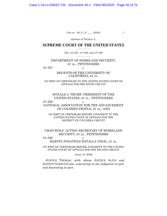Opinion of THOMAS, J.

## **SUPREME COURT OF THE UNITED STATES**  $\frac{1}{2}$  ,  $\frac{1}{2}$  ,  $\frac{1}{2}$  ,  $\frac{1}{2}$  ,  $\frac{1}{2}$  ,  $\frac{1}{2}$  ,  $\frac{1}{2}$

 $\frac{1}{2}$  ,  $\frac{1}{2}$  ,  $\frac{1}{2}$  ,  $\frac{1}{2}$  ,  $\frac{1}{2}$  ,  $\frac{1}{2}$ Nos. 18–587, 18–588, and 18–589

## DEPARTMENT OF HOMELAND SECURITY, ET AL., PETITIONERS

18–587 *v.* 

### REGENTS OF THE UNIVERSITY OF CALIFORNIA, ET AL.

ON WRIT OF CERTIORARI TO THE UNITED STATES COURT OF APPEALS FOR THE NINTH CIRCUIT

# DONALD J. TRUMP, PRESIDENT OF THE UNITED STATES, ET AL., PETITIONERS 18–588 *v.*  NATIONAL ASSOCIATION FOR THE ADVANCEMENT OF COLORED PEOPLE, ET AL.; AND

ON WRIT OF CERTIORARI BEFORE JUDGMENT TO THE UNITED STATES COURT OF APPEALS FOR THE DISTRICT OF COLUMBIA CIRCUIT

# CHAD WOLF, ACTING SECRETARY OF HOMELAND SECURITY, ET AL., PETITIONERS

# 18–589 *v.*  MARTIN JONATHAN BATALLA VIDAL, ET AL.

ON WRIT OF CERTIORARI BEFORE JUDGMENT TO THE UNITED STATES COURT OF APPEALS FOR THE SECOND CIRCUIT

## [June 18, 2020]

 JUSTICE THOMAS, with whom JUSTICE ALITO and JUSTICE GORSUCH join, concurring in the judgment in part and dissenting in part.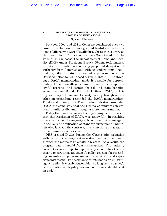## Opinion of THOMAS, J. 2 DEPARTMENT OF HOMELAND SECURITY *v.*  REGENTS OF UNIV. OF CAL.

 making, DHS unilaterally created a program known as Between 2001 and 2011, Congress considered over two dozen bills that would have granted lawful status to millions of aliens who were illegally brought to this country as children. Each of those legislative efforts failed. In the wake of this impasse, the Department of Homeland Security (DHS) under President Barack Obama took matters into its own hands. Without any purported delegation of authority from Congress and without undertaking a rule-Deferred Action for Childhood Arrivals (DACA). The threepage DACA memorandum made it possible for approximately 1.7 million illegal aliens to qualify for temporary lawful presence and certain federal and state benefits. When President Donald Trump took office in 2017, his Acting Secretary of Homeland Security, acting through yet another memorandum, rescinded the DACA memorandum. To state it plainly, the Trump administration rescinded DACA the same way that the Obama administration created it: unilaterally, and through a mere memorandum.

Today the majority makes the mystifying determination that this rescission of DACA was unlawful. In reaching that conclusion, the majority acts as though it is engaging in the routine application of standard principles of administrative law. On the contrary, this is anything but a standard administrative law case.

DHS created DACA during the Obama administration without any statutory authorization and without going through the requisite rulemaking process. As a result, the program was unlawful from its inception. The majority does not even attempt to explain why a court has the authority to scrutinize an agency's policy reasons for rescinding an unlawful program under the arbitrary and capricious microscope. The decision to countermand an unlawful agency action is clearly reasonable. So long as the agency's determination of illegality is sound, our review should be at an end.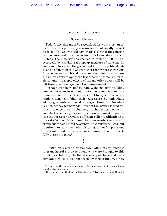#### Opinion of THOMAS, J.

Today's decision must be recognized for what it is: an effort to avoid a politically controversial but legally correct decision. The Court could have made clear that the solution respondents seek must come from the Legislative Branch. Instead, the majority has decided to prolong DHS' initial overreach by providing a stopgap measure of its own. In doing so, it has given the green light for future political battles to be fought in this Court rather than where they rightfully belong—the political branches. Such timidity forsakes the Court's duty to apply the law according to neutral principles, and the ripple effects of the majority's error will be felt throughout our system of self-government.

Perhaps even more unfortunately, the majority's holding creates perverse incentives, particularly for outgoing administrations. Under the auspices of today's decision, administrations can bind their successors by unlawfully adopting significant legal changes through Executive Branch agency memoranda. Even if the agency lacked authority to effectuate the changes, the changes cannot be undone by the same agency in a successor administration unless the successor provides sufficient policy justifications to the satisfaction of this Court. In other words, the majority erroneously holds that the agency is not only permitted, but required, to continue administering unlawful programs that it inherited from a previous administration. I respectfully dissent in part.<sup>1</sup>

> I A

In 2012, after more than two dozen attempts by Congress to grant lawful status to aliens who were brought to this country as children,<sup>2</sup> the then-Secretary of Homeland Security Janet Napolitano announced, by memorandum, a new

 $1$ I concur in the judgment insofar as the majority rejects respondents' equal protection claim. 2See Immigrant Children's Educational Advancement and Dropout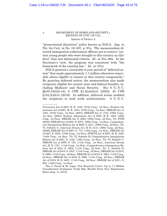## Opinion of THOMAS, J. 4 DEPARTMENT OF HOMELAND SECURITY *v.*  REGENTS OF UNIV. OF CAL.

 dren" that met delineated criteria. *Id.*, at 97a–98a. In the "prosecutorial discretion" policy known as DACA. App. to Pet. for Cert. in No. 18–587, p. 97a. The memorandum directed immigration enforcement officers not to remove "certain young people who were brought to this country as chil-Secretary's view, the program was consistent with "the framework of the existing law." *Id.*, at 101a.

 able aliens eligible to remain in this country temporarily.3 DACA granted a renewable 2-year period of "deferred action" that made approximately 1.7 million otherwise remov-By granting deferred action, the memorandum also made recipients eligible for certain state and federal benefits, including Medicare and Social Security. See 8 U. S. C. §§1611(b)(2)–(4); 8 CFR §1.3(a)(4)(vi) (2020); 45 CFR §152.2(4)(vi) (2019). In addition, deferred action enabled the recipients to seek work authorization. 8 U. S. C.

3See J. Passel & M. Lopez, Pew Research Center, Up to 1.7 Million Unauthorized Immigrant Youth May Benefit From New Deportation Rules (Aug. 14, 2012).

——————

Prevention Act of 2001, H. R. 1582, 107th Cong., 1st Sess.; Student Adjustment Act of 2001, H. R. 1918, 107th Cong., 1st Sess.; DREAM Act, S. 1291, 107th Cong., 1st Sess. (2001); DREAM Act, S. 1545, 108th Cong., 1st Sess. (2003); Student Adjustment Act of 2003, H. R. 1684, 108th Cong., 1st Sess.; DREAM Act, S. 2863, 108th Cong., 2d Sess., Tit. XVIII (2003); DREAM Act of 2005, S. 2075, 109th Cong., 1st Sess.; Comprehensive Immigration Reform Act of 2006, S. 2611, 109th Cong., 2d Sess., Tit. VI, Subtitle C; American Dream Act, H. R. 5131, 109th Cong., 2d Sess. (2006); DREAM Act of 2007, S. 774, 110th Cong., 1st Sess.; DREAM Act of 2007, S. 2205, 110th Cong., 1st Sess.; STRIVE Act of 2007, H. R. 1645, 110th Cong., 1st Sess., Tit. VI, Subtitle B; Comprehensive Immigration Reform Act of 2007, S. 1348, 110th Cong., 1st Sess., Tit. VI, Subtitle C; DREAM Act of 2009, S. 729, 111th Cong., 1st Sess.; American Dream Act, H. R. 1751, 111th Cong., 1st Sess.; Comprehensive Immigration Reform Act of 2010, S. 3932, 111th Cong., 2d Sess., Tit. V, Subtitle D; DREAM Act of 2010, S. 3827, 111th Cong., 2d Sess.; DREAM Act of 2010, S. 3962, 111th Cong., 2d Sess.; DREAM Act of 2010, S. 3963, 111th Cong., 2d Sess.; DREAM Act of 2010, S. 3992, 111th Cong., 2d Sess.; DREAM Act of 2010, H. R. 6497, 111th Cong., 2d Sess.; DREAM Act of 2011, S. 952, 112th Cong., 1st Sess.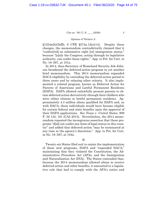#### Opinion of THOMAS, J.

 $$1324a(h)(3)(B); 8 \text{ CFR } $274a.12(c)(14).$  Despite these changes, the memorandum contradictorily claimed that it "confer[red] no substantive right [or] immigration status," because "[o]nly the Congress, acting through its legislative authority, can confer these rights." App. to Pet. for Cert. in No. 18–587, at 101a.

In 2014, then-Secretary of Homeland Security Jeh Johnson broadened the deferred-action program in yet another brief memorandum. This 2014 memorandum expanded DACA eligibility by extending the deferred-action period to three years and by relaxing other criteria. It also implemented a related program, known as Deferred Action for Parents of Americans and Lawful Permanent Residents (DAPA). DAPA allowed unlawfully present parents to obtain deferred action derivatively through their children who were either citizens or lawful permanent residents. Approximately 4.3 million aliens qualified for DAPA and, as with DACA, these individuals would have become eligible for certain federal and state benefits upon the approval of their DAPA applications. See *Texas* v. *United States*, 809 F. 3d 134, 181 (CA5 2015). Nevertheless, the 2014 memorandum repeated the incongruous assertion that these programs "d[id] not confer any form of legal status in this country" and added that deferred action "may be terminated at any time at the agency's discretion." App. to Pet. for Cert. in No. 18–587, at 104a.

B

Twenty-six States filed suit to enjoin the implementation of these new programs, DAPA and "expanded DACA," maintaining that they violated the Constitution, the Administrative Procedure Act (APA), and the Immigration and Naturalization Act (INA). The States contended that, because the 2014 memorandum allowed aliens to receive deferred action and other benefits, it amounted to a legislative rule that had to comply with the APA's notice and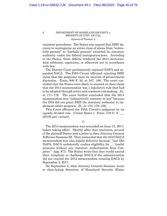## Opinion of THOMAS, J. 6 DEPARTMENT OF HOMELAND SECURITY *v.*  REGENTS OF UNIV. OF CAL.

comment procedures. The States also argued that DHS' decision to recategorize an entire class of aliens from "unlawfully present" to "lawfully present" exceeded its statutory authority under the federal immigration laws. According to the States, these defects rendered the 2014 memorandum arbitrary, capricious, or otherwise not in accordance with law.

The District Court preliminarily enjoined DAPA and expanded DACA. The Fifth Circuit affirmed, rejecting DHS' claim that the programs were an exercise of prosecutorial discretion. *Texas*, 809 F. 3d, at 167, 188. The court concluded that the States were likely to succeed on their claim that the 2014 memorandum was a legislative rule that had to be adopted through notice and comment rulemaking. *Id.*, at 171–178. The court further concluded that the 2014 memorandum was "substantively contrary to law" because the INA did not grant DHS the statutory authority to implement either program. *Id.*, at 170, 178–186.

This Court affirmed the Fifth Circuit's judgment by an equally divided vote. *United States* v. *Texas*, 579 U. S. \_\_\_ (2016) (*per curiam*).

The 2014 memorandum was rescinded on June 15, 2017, before taking effect. Shortly after that rescission, several of the plaintiff States sent a letter to then-Attorney General Jefferson Sessions III. They contended that the 2012 DACA memorandum was also legally defective because, "just like DAPA, DACA unilaterally confers eligibility for . . . lawful presence without any statutory authorization from Congress." App. 873. The States wrote that they would amend their complaint to challenge DACA if the administration did not rescind the 2012 memorandum creating DACA by September 5, 2017.

On September 4, then-Attorney General Sessions wrote to then-Acting Secretary of Homeland Security Elaine

 $\mathcal{C}$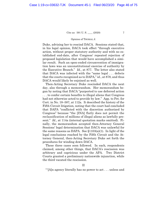#### Opinion of THOMAS, J.

Duke, advising her to rescind DACA. Sessions stated that, in his legal opinion, DACA took effect "through executive action, without proper statutory authority and with no established end-date, after Congress' repeated rejection of proposed legislation that would have accomplished a similar result. Such an open-ended circumvention of immigration laws was an unconstitutional exercise of authority by the Executive Branch." *Id.*, at 877. The letter also stated that DACA was infected with the "same legal . . . defects that the courts recognized as to DAPA," *id.*, at 878, and thus DACA would likely be enjoined as well.

 Congress" because "the [INA] flatly does not permit the Then-Acting Secretary Duke rescinded DACA the next day, also through a memorandum. Her memorandum began by noting that DACA "purported to use deferred action . . . to confer certain benefits to illegal aliens that Congress had not otherwise acted to provide by law." App. to Pet. for Cert. in No. 18–587, at 112a. It described the history of the Fifth Circuit litigation, noting that the court had concluded that DAPA "conflicted with the discretion authorized by reclassification of millions of illegal aliens as lawfully present." *Id*., at 114a (internal quotation marks omitted). Finally, the memorandum accepted then-Attorney General Sessions' legal determination that DACA was unlawful for the same reasons as DAPA. See  $$1103(a)(1)$ . In light of the legal conclusions reached by the Fifth Circuit and the Attorney General, then-Acting Secretary Duke set forth the procedures for winding down DACA.

These three cases soon followed. In each, respondents claimed, among other things, that DACA's rescission was arbitrary and capricious under the APA. Two District Courts granted a preliminary nationwide injunction, while the third vacated the rescission.

"'[A]n agency literally has no power to act . . . unless and

II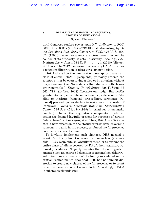## Opinion of THOMAS, J. 8 DEPARTMENT OF HOMELAND SECURITY *v.*  REGENTS OF UNIV. OF CAL.

until Congress confers power upon it.'" *Arlington* v. *FCC*, 569 U. S. 290, 317 (2013) (ROBERTS, C. J., dissenting) (quoting *Louisiana Pub. Serv. Comm'n* v. *FCC*, 476 U. S. 355, 374 (1986)). When an agency exercises power beyond the bounds of its authority, it acts unlawfully. See, *e.g.*, *SAS Institute Inc.* v. *Iancu*, 584 U. S. \_\_\_, \_\_, n. (2018) (slip op., at 11, n.). The 2012 memorandum creating DACA provides a poignant illustration of ultra vires agency action.

DACA alters how the immigration laws apply to a certain class of aliens. "DACA [recipients] primarily entered the country either by overstaying a visa or by entering without inspection, and the INA instructs that aliens in both classes are removable." *Texas* v. *United States*, 328 F. Supp. 3d 662, 713 (SD Tex. 2018) (footnote omitted). But DACA granted its recipients deferred action, *i.e.*, a decision to "decline to institute [removal] proceedings, terminate [removal] proceedings, or decline to institute a final order of [removal]." *Reno* v. *American-Arab Anti-Discrimination Comm.*, 525 U. S. 471, 484 (1999) (internal quotation marks omitted). Under other regulations, recipients of deferred action are deemed lawfully present for purposes of certain federal benefits. See *supra*, at 4. Thus, DACA in effect created a new exception to the statutory provisions governing removability and, in the process, conferred lawful presence on an entire class of aliens.

To lawfully implement such changes, DHS needed a grant of authority from Congress to either reclassify removable DACA recipients as lawfully present, or to exempt the entire class of aliens covered by DACA from statutory removal procedures. No party disputes that the immigration statutes lack an express delegation to accomplish either result. And, an examination of the highly reticulated immigration regime makes clear that DHS has no implicit discretion to create new classes of lawful presence or to grant relief from removal out of whole cloth. Accordingly, DACA is substantively unlawful.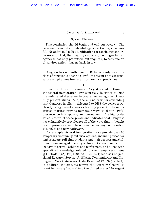#### Opinion of THOMAS, J.

This conclusion should begin and end our review. The decision to rescind an unlawful agency action is *per se* lawful. No additional policy justifications or considerations are necessary. And, the majority's contrary holding—that an agency is not only permitted, but required, to continue an ultra vires action—has no basis in law.

## A

Congress has not authorized DHS to reclassify an entire class of removable aliens as lawfully present or to categorically exempt aliens from statutory removal provisions.

1

I begin with lawful presence. As just stated, nothing in the federal immigration laws expressly delegates to DHS the unfettered discretion to create new categories of lawfully present aliens. And, there is no basis for concluding that Congress implicitly delegated to DHS the power to reclassify categories of aliens as lawfully present. The immigration statutes provide numerous ways to obtain lawful presence, both temporary and permanent. The highly detailed nature of these provisions indicates that Congress has exhaustively provided for all of the ways that it thought lawful presence should be obtainable, leaving no discretion to DHS to add new pathways.

For example, federal immigration laws provide over 60 temporary nonimmigrant visa options, including visas for ambassadors, full-time students and their spouses and children, those engaged to marry a United States citizen within 90 days of arrival, athletes and performers, and aliens with specialized knowledge related to their employers. See §§1101(a)(15)(A)–(V), 1184; 8 CFR §214.1; see also Congressional Research Service, J. Wilson, Nonimmigrant and Immigrant Visa Categories: Data Brief 1–6 (2019) (Table 1). In addition, the statutes permit the Attorney General to grant temporary "parole" into the United States "for urgent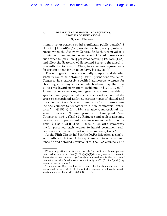## Opinion of THOMAS, J. 10 DEPARTMENT OF HOMELAND SECURITY *v.*  REGENTS OF UNIV. OF CAL.

humanitarian reasons or [a] significant public benefit," 8 U. S. C. §1182(d)(5)(A); provide for temporary protected status when the Attorney General finds that removal to a country with an ongoing armed conflict "would pose a serious threat to [an alien's] personal safety," §1254a(b)(1)(A); and allow the Secretary of Homeland Security (in consultation with the Secretary of State) to waive visa requirements for certain aliens for up to 90 days,  $\S$ [1187(a)–(d).

 obtaining an immigrant visa, which aliens may then use to become lawful permanent residents.  $\S$ [1201, 1255(a). to become lawful permanent residents. §§1201, 1255(a). Among other categories, immigrant visas are available to tions, §1159; 8 CFR §§209.1, 209.2.4 As with temporary lawful presence, each avenue to lawful permanent resi-The immigration laws are equally complex and detailed when it comes to obtaining lawful permanent residence. Congress has expressly specified numerous avenues for specified family-sponsored aliens, aliens with advanced degrees or exceptional abilities, certain types of skilled and unskilled workers, "special immigrants," and those entering the country to "engag[e] in a new commercial enterprise." §§1153(a)–(b), 1154; see also Congressional Research Service, Nonimmigrant and Immigrant Visa Categories, at 6–7 (Table 2). Refugees and asylees also may receive lawful permanent residence under certain condidence status has its own set of rules and exceptions.<sup>5</sup>

As the Fifth Circuit held in the DAPA litigation, a conclusion with which then-Attorney General Sessions agreed, "specific and detailed provisions[ of] the INA expressly and

<sup>&</sup>lt;sup>4</sup>The immigration statutes also provide for conditional lawful permanent residence status. See §1186a(b)(1)(A)(i) (two years for spouses to demonstrate that the marriage "was [not] entered into for the purpose of procuring an alien's admission as an immigrant"); §1186b (qualifying business entrepreneurs).<br><sup>5</sup>For instance, Congress has carved out rules for aliens who served in

the Armed Forces, §§1438–1440, and alien spouses who have been subject to domestic abuse, §§1186a(c)(4)(C)–(D).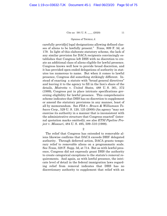#### Opinion of THOMAS, J.

 ate an additional class of aliens eligible for lawful presence. carefully provid[e] legal designations allowing defined classes of aliens to be lawfully present." *Texas*, 809 F. 3d, at 179. In light of this elaborate statutory scheme, the lack of any similar provision for DACA recipients convincingly establishes that Congress left DHS with no discretion to cre-Congress knows well how to provide broad discretion, and it has provided open-ended delegations of authority in statutes too numerous to name. But when it comes to lawful presence, Congress did something strikingly different. Instead of enacting a statute with "broad general directives" and leaving it to the agency to fill in the lion's share of the details, *Mistretta* v. *United States*, 488 U. S. 361, 372 (1989), Congress put in place intricate specifications governing eligibility for lawful presence. This comprehensive scheme indicates that DHS has no discretion to supplement or amend the statutory provisions in any manner, least of all by memorandum. See *FDA* v. *Brown & Williamson Tobacco Corp.*, 529 U. S. 120, 125 (2000) (An agency "may not exercise its authority in a manner that is inconsistent with the administrative structure that Congress enacted" (internal quotation marks omitted)); see also *ETSI Pipeline Project* v. *Missouri*, 484 U. S. 495, 509–510 (1988).

2

The relief that Congress has extended to removable aliens likewise confirms that DACA exceeds DHS' delegated authority. Through deferred action, DACA grants temporary relief to removable aliens on a programmatic scale. See *Texas*, 328 F. Supp. 3d, at 714. But as with lawful presence, Congress did not expressly grant DHS the authority to create categorical exceptions to the statute's removal requirements. And again, as with lawful presence, the intricate level of detail in the federal immigration laws regarding relief from removal indicates that DHS has no discretionary authority to supplement that relief with an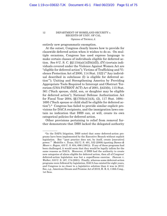## Opinion of THOMAS, J. 12 DEPARTMENT OF HOMELAND SECURITY *v.*  REGENTS OF UNIV. OF CAL.

entirely new programmatic exemption.

At the outset, Congress clearly knows how to provide for classwide deferred action when it wishes to do so. On multiple occasions, Congress has used express language to make certain classes of individuals eligible for deferred action. See 8 U.S. C.  $\S$ 1154(a)(1)(D)(i)(II), (IV) (certain individuals covered under the Violence Against Women Act are "eligible for deferred action"); Victims of Trafficking and Violence Protection Act of 2000, 114 Stat. 1522 ("'Any individual described in subclause (I) is eligible for deferred action'"); Uniting and Strengthening America by Providing Appropriate Tools Required to Intercept and Obstruct Terrorism (USA PATRIOT ACT) Act of 2001, §423(b), 115 Stat. 361 ("Such spouse, child, son, or daughter may be eligible for deferred action"); National Defense Authorization Act for Fiscal Year 2004, §§1703(c)(1)(A), (2), 117 Stat. 1694– 1695 ("Such spouse or child shall be eligible for deferred action").6 Congress has failed to provide similar explicit provisions for DACA recipients, and the immigration laws contain no indication that DHS can, at will, create its own categorical policies for deferred action.

Other provisions pertaining to relief from removal further demonstrate that DHS lacked the delegated authority

 deferred-action legislation was but a superfluous exercise. *Duncan* v. and Congress is no closer to a legislative solution than it was in 2012.  ${}^6$ In the DAPA litigation, DHS noted that some deferred-action programs have been implemented by the Executive Branch without explicit legislation. But "past practice does not, by itself, create [executive] power.' " *Medellín* v. *Texas*, 552 U. S. 491, 532 (2008) (quoting *Dames & Moore* v. *Regan*, 453 U. S. 654, 686 (1981)). If any of these programs had been challenged, it would seem that they would be legally infirm for the same reasons as DACA. Moreover, if DHS had the authority to create new categories of aliens eligible for deferred action, then all of Congress' *Walker*, 533 U. S. 167, 174 (2001). Finally, whereas some deferred-action programs were followed by legislation, DACA has existed for eight years, See, *e.g.*, American Dream and Promise Act of 2019, H. R. 6, 116th Cong., 1st Sess.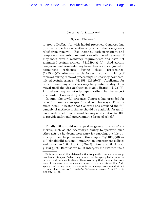#### Opinion of THOMAS, J.

 moval until the visa application is adjudicated. §1227(d). to create DACA. As with lawful presence, Congress has provided a plethora of methods by which aliens may seek relief from removal. For instance, both permanent and temporary residents can seek cancellation of removal if they meet certain residency requirements and have not committed certain crimes. §§1229b(a)–(b). And certain nonpermanent residents may have their status adjusted to permanent residence during these proceedings. §1229b(b)(2). Aliens can apply for asylum or withholding of removal during removal proceedings unless they have committed certain crimes. §§1158, 1231(b)(3). Applicants for certain nonimmigrant visas may be granted a stay of re-And, aliens may voluntarily depart rather than be subject to an order of removal. §1229c.

In sum, like lawful presence, Congress has provided for relief from removal in specific and complex ways. This nuanced detail indicates that Congress has provided the full panoply of methods it thinks should be available for an alien to seek relief from removal, leaving no discretion to DHS to provide additional programmatic forms of relief.7

3

Finally, DHS could not appeal to general grants of authority, such as the Secretary's ability to "perform such other acts as he deems necessary for carrying out his authority under the provisions of this chapter," §1103(a)(3), or to "[e]stablis[h] national immigration enforcement policies and priorities," 6 U. S. C. §202(5). See also 8 U. S. C.  $$1103(g)(2)$ . Because we must interpret the statutes "as a

<sup>&</sup>lt;sup>7</sup>It is uncontested that deferred action frequently occurs on a case-bycase basis, often justified on the grounds that the agency lacks resources to remove all removable aliens. Even assuming that these ad hoc exercises of discretion are permissible, however, we have stated that "[a]n agency confronting resource constraints may change its own conduct, but it cannot change the law." *Utility Air Regulatory Group* v. *EPA*, 573 U. S. 302, 327 (2014).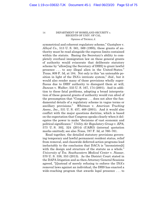## Opinion of THOMAS, J. 14 DEPARTMENT OF HOMELAND SECURITY *v.*  REGENTS OF UNIV. OF CAL.

symmetrical and coherent regulatory scheme," *Gustafson* v. *Alloyd Co.*, 513 U. S. 561, 569 (1995), these grants of authority must be read alongside the express limits contained within the statute. Basing the Secretary's ability to completely overhaul immigration law on these general grants of authority would eviscerate that deliberate statutory scheme by "allow[ing the Secretary of DHS] to grant lawful presence . . . to any illegal alien in the United States." *Texas*, 809 F. 3d, at 184. Not only is this "an untenable position in light of the INA's intricate system," *ibid.*, but it would also render many of those provisions wholly superfluous due to DHS' authority to disregard them at will, *Duncan* v. *Walker*, 533 U. S. 167, 174 (2001). And in addition to these fatal problems, adopting a broad interpretation of these general grants of authority would run afoul of the presumption that "Congress . . . does not alter the fundamental details of a regulatory scheme in vague terms or ancillary provisions." *Whitman* v. *American Trucking Assns.*, *Inc.*, 531 U. S. 457, 468 (2001). And it would also conflict with the major questions doctrine, which is based on the expectation that Congress speaks clearly when it delegates the power to make "decisions of vast economic and political significance." *Utility Air Regulatory Group* v. *EPA*, 573 U. S. 302, 324 (2014) (*UARG*) (internal quotation marks omitted); see also *Texas*, 787 F. 3d, at 760–761.

Read together, the detailed statutory provisions governing temporary and lawful permanent resident status, relief from removal, and classwide deferred-action programs lead ineluctably to the conclusion that DACA is "inconsisten[t] with the design and structure of the statute as a whole." *University of Tex. Southwestern Medical Center* v. *Nassar*, 570 U. S. 338, 353 (2013). As the District Court stated in the DAPA litigation and as then-Attorney General Sessions agreed, "[i]nstead of merely refusing to enforce the INA's removal laws against an individual, the DHS has enacted a wide-reaching program that awards legal presence . . . to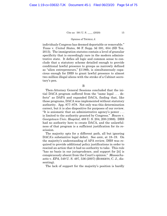#### Opinion of THOMAS, J.

individuals Congress has deemed deportable or removable." *Texas* v. *United States*, 86 F. Supp. 3d 591, 654 (SD Tex. 2015). The immigration statutes contain a level of granular specificity that is exceedingly rare in the modern administrative state. It defies all logic and common sense to conclude that a statutory scheme detailed enough to provide conditional lawful presence to groups as narrowly defined as "alien entrepreneurs," §1186b, is simultaneously capacious enough for DHS to grant lawful presence to almost two million illegal aliens with the stroke of a Cabinet secretary's pen.

B

Then-Attorney General Sessions concluded that the initial DACA program suffered from the "same legal . . . defects" as DAPA and expanded DACA, finding that, like those programs, DACA was implemented without statutory authority. App. 877–878. Not only was this determination correct, but it is also dispositive for purposes of our review. "It is axiomatic that an administrative agency's power . . . is limited to the authority granted by Congress." *Bowen* v. *Georgetown Univ. Hospital*, 488 U. S. 204, 208 (1988). DHS had no authority here to create DACA, and the unlawfulness of that program is a sufficient justification for its rescission.

The majority opts for a different path, all but ignoring DACA's substantive legal defect. See *ante*, at 18–19. On the majority's understanding of APA review, DHS was required to provide additional policy justifications in order to rescind an action that it had no authority to take. This rule "has no basis in our jurisprudence, and support for [it] is conspicuously absent from the Court's opinion." *Massachusetts* v. *EPA*, 549 U. S. 497, 536 (2007) (ROBERTS, C. J., dissenting).

The lack of support for the majority's position is hardly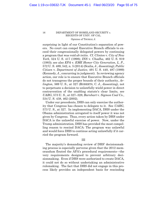## Opinion of THOMAS, J. 16 DEPARTMENT OF HOMELAND SECURITY *v.*  REGENTS OF UNIV. OF CAL.

surprising in light of our Constitution's separation of powers. No court can compel Executive Branch officials to exceed their congressionally delegated powers by continuing a program that was void *ab initio*. Cf. *Clinton* v. *City of New York*, 524 U. S. 417 (1998); *INS* v. *Chadha*, 462 U. S. 919 (1983); see also *EPA* v. *EME Homer City Generation*, *L. P.*, 572 U. S. 489, 542, n. 5 (2014) (Scalia, J., dissenting); *Public Citizen* v. *Department of Justice*, 491 U. S. 440, 487 (1989) (Kennedy, J., concurring in judgment). In reviewing agency action, our role is to ensure that Executive Branch officials do not transgress the proper bounds of their authority, *Arlington*, 569 U. S., at 327 (ROBERTS, C. J., dissenting), not to perpetuate a decision to unlawfully wield power in direct contravention of the enabling statute's clear limits, see *UARG*, 573 U. S., at 327–328; *Barnhart* v. *Sigmon Coal Co.*, 534 U. S. 438, 462 (2002).

Under our precedents, DHS can only exercise the authority that Congress has chosen to delegate to it. See *UARG*, 573 U. S., at 327. In implementing DACA, DHS under the Obama administration arrogated to itself power it was not given by Congress. Thus, every action taken by DHS under DACA is the unlawful exercise of power. Now, under the Trump administration, DHS has provided the most compelling reason to rescind DACA: The program was unlawful and would force DHS to continue acting unlawfully if it carried the program forward.

## III

The majority's demanding review of DHS' decisionmaking process is especially perverse given that the 2012 memorandum flouted the APA's procedural requirements—the very requirements designed to prevent arbitrary decisionmaking. Even if DHS were authorized to create DACA, it could not do so without undertaking an administrative rulemaking. The fact that DHS did not engage in this process likely provides an independent basis for rescinding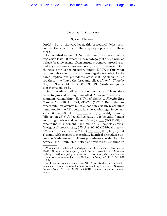#### Opinion of THOMAS, J.

DACA. But at the very least, this procedural defect compounds the absurdity of the majority's position in these cases.

As described above, DACA fundamentally altered the immigration laws. It created a new category of aliens who, as a class, became exempt from statutory removal procedures, and it gave those aliens temporary lawful presence. Both changes contravened statutory limits. DACA is thus what is commonly called a substantive or legislative rule.8 As the name implies, our precedents state that legislative rules are those that "have the force and effect of law." *Chrysler Corp.* v. *Brown*, 441 U. S. 281, 295 (1979) (internal quotation marks omitted).

Our precedents allow the vast majority of legislative rules to proceed through so-called "informal" notice and comment rulemaking. See *United States* v. *Florida East Coast R. Co.*, 410 U. S. 224, 237–238 (1973).9 But under our precedents, an agency must engage in certain procedures mandated by the APA before its rule carries legal force. *Kisor* v. *Wilkie*, 588 U. S. \_\_\_, \_\_\_ (2019) (plurality opinion) (slip op., at 23) ("[A] legislative rule,  $\dots$  to be valid[,] must go through notice and comment"); *id.*, at \_\_\_ (GORSUCH, J., concurring in judgment) (slip op., at 17) (same); *Perez* v. *Mortgage Bankers Assn.*, 575 U. S. 92, 96 (2015); cf. *Azar* v. *Allina Health Services*, 587 U. S. \_\_\_, \_\_\_ (2019) (slip op., at 1) (same with respect to materially identical procedures under the Medicare Act). These procedures specify that the agency "shall" publish a notice of proposed rulemaking in

<sup>&</sup>lt;sup>8</sup>The majority tacitly acknowledges as much, as it must. See *ante*, at 11–12. Otherwise, the majority would have to accept that DACA was nothing more than a policy of prosecutorial discretion, which would make its rescission unreviewable. See *Heckler* v. *Chaney*, 470 U. S. 821, 831 (1985).<br><sup>9</sup>As I have previously pointed out, "the APA actually contemplated a

 much more formal process for most rulemaking." *Perez* v. *Mortgage Bankers Assn.*, 575 U. S. 92, 128, n. 5 (2015) (opinion concurring in judgment).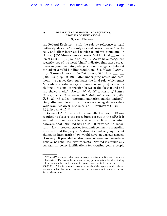## Opinion of THOMAS, J. 18 DEPARTMENT OF HOMELAND SECURITY *v.*  REGENTS OF UNIV. OF CAL.

the Federal Register, justify the rule by reference to legal authority, describe "the subjects and issues involved" in the rule, and allow interested parties to submit comments. 5 U. S. C. §§553(b)–(c); see also *Kisor*, 588 U. S., at \_\_\_ (opinion of GORSUCH, J.) (slip op., at 17). As we have recognized recently, use of the word "shall" indicates that these procedures impose mandatory obligations on the agency before it can adopt a valid binding regulation. See *Maine Community Health Options* v. *United States*, 590 U. S. \_\_\_, \_\_\_ (2020) (slip op., at 12). After undergoing notice and comment, the agency then publishes the final rule, which must "articulate a satisfactory explanation for [the] action including a rational connection between the facts found and the choice made." *Motor Vehicle Mfrs. Assn. of United States*, *Inc.* v. *State Farm Mut. Automobile Ins. Co.*, 463 U. S. 29, 43 (1983) (internal quotation marks omitted). Only after completing this process is the legislative rule a valid law. See *Kisor*, 588 U. S., at \_\_\_ (opinion of GORSUCH, J.) (slip op., at 17).10

Because DACA has the force and effect of law, DHS was required to observe the procedures set out in the APA if it wanted to promulgate a legislative rule. It is undisputed, however, that DHS did not do so. It provided no opportunity for interested parties to submit comments regarding the effect that the program's dramatic and very significant change in immigration law would have on various aspects of society. It provided no discussion of economic considerations or national security interests. Nor did it provide any substantial policy justifications for treating young people

 rule without notice and comment if good cause exists to do so. 5 U. S. C.  $10$ The APA also provides certain exceptions from notice and comment rulemaking. For example, an agency may promulgate a legally binding §553(b)(B). This text would become a nullity if the agency could achieve the same effect by simply dispensing with notice and comment procedures altogether.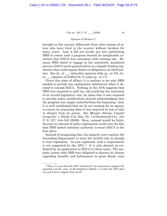#### Opinion of THOMAS, J.

brought to this country differently from other classes of aliens who have lived in the country without incident for many years. And, it did not invoke any law authorizing DHS to create such a program beyond its inexplicable assertion that DACA was consistent with existing law. Because DHS failed to engage in the statutorily mandated process, DACA never gained status as a legally binding regulation that could impose duties or obligations on third parties. See *id.*, at \_\_\_ (plurality opinion) (slip op., at 23); *id.*, at  $\equiv$  (opinion of GORSUCH, J.) (slip op., at 17).

Given this state of affairs, it is unclear to me why DHS needed to provide any explanation whatsoever when it decided to rescind DACA. Nothing in the APA suggests that DHS was required to spill *any* ink justifying the rescission of an invalid legislative rule, let alone that it was required to provide policy justifications beyond acknowledging that the program was simply unlawful from the beginning. And, it is well established that we do not remand for an agency to correct its reasoning when it was required by law to take or abstain from an action. See *Morgan Stanley Capital Group Inc.* v. *Public Util. Dist. No. 1 of Snohomish Cty.*, 554 U. S. 527, 544–545 (2008). Here, remand would be futile, because no amount of policy explanation could cure the fact that DHS lacked statutory authority to enact DACA in the first place.

Instead of recognizing this, the majority now requires the rescinding Department to treat the invalid rule as though it were legitimate. As just explained, such a requirement is not supported by the  $APA$ .<sup>11</sup> It is also absurd, as evidenced by its application to DACA in these cases. The majority insists that DHS was obligated to discuss its choices regarding benefits and forbearance in great detail, even

<sup>&</sup>lt;sup>11</sup> Thus, it is not that the APA "*should* not" be construed to support the majority's result, *ante*, at 26 (emphasis added), it is that the APA does not and *cannot* support that result.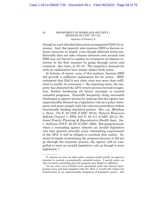## Opinion of THOMAS, J. 20 DEPARTMENT OF HOMELAND SECURITY *v.*  REGENTS OF UNIV. OF CAL.

though no such detailed discussion accompanied DACA's issuance. And, the majority also requires DHS to discuss reliance interests at length, even though deferred action traditionally does not take reliance interests into account and DHS was not forced to explain its treatment of reliance interests in the first instance by going through notice and comment. See *infra*, at 23–24. The majority's demand for such an explanation here simply makes little sense.

At bottom, of course, none of this matters, because DHS *did* provide a sufficient explanation for its action. DHS' statement that DACA was ultra vires was more than sufficient to justify its rescission.12 By requiring more, the majority has distorted the APA review process beyond recognition, further burdening all future attempts to rescind unlawful programs. Plaintiffs frequently bring successful challenges to agency actions by arguing that the agency has impermissibly dressed up a legislative rule as a policy statement and must comply with the relevant procedures before functionally binding regulated parties. See, *e.g.*, *Mendoza*  v. *Perez*, 754 F. 3d 1002 (CADC 2014); *Natural Resources Defense Council* v. *EPA*, 643 F. 3d 311 (CADC 2011); *National Family Planning & Reproductive Health Assn.*, *Inc.*  v. *Sullivan*, 979 F. 2d 227 (CADC 1992). But going forward, when a rescinding agency inherits an invalid legislative rule that ignored virtually every rulemaking requirement of the APA, it will be obliged to overlook that reality. Instead of simply terminating the program because it did not go through the requisite process, the agency will be compelled to treat an invalid legislative rule as though it were legitimate.13

 $^{12}$ I express no view on what other reasons would justify an agency's decision to rescind a procedurally unlawful action. I merely point out that correctly concluding that the program was illegal is sufficient. 13 In my view, even if DACA were permitted under the federal immi-

gration laws and had complied with the APA, it would still violate the Constitution as an impermissible delegation of legislative power. See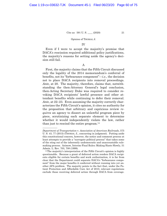#### Opinion of THOMAS, J.

### IV

Even if I were to accept the majority's premise that DACA's rescission required additional policy justifications, the majority's reasons for setting aside the agency's decision still fail.

A

First, the majority claims that the Fifth Circuit discussed only the legality of the 2014 memorandum's conferral of benefits, not its "forbearance component"—*i.e.*, the decision not to place DACA recipients into removal proceedings. *Ante*, at 20. The majority, therefore, claims that, notwithstanding the then-Attorney General's legal conclusion, then-Acting Secretary Duke was required to consider revoking DACA recipients' lawful presence and other attendant benefits while continuing to defer their removal. *Ante*, at 22–23. Even assuming the majority correctly characterizes the Fifth Circuit's opinion, it cites no authority for the proposition that arbitrary and capricious review *requires* an agency to dissect an unlawful program piece by piece, scrutinizing each separate element to determine whether it would independently violate the law, rather than just to rescind the entire program.14

——————

*Department of Transportation* v. *Association of American Railroads*, 575 U. S. 43, 77 (2015) (THOMAS, J., concurring in judgment). Putting aside this constitutional concern, however, the notice and comment process at least attempts to provide a "surrogate political process" that takes some of the sting out of the inherently undemocratic and unaccountable rulemaking process. Asimow, Interim-Final Rules: Making Haste Slowly, 51 Admin. L. Rev. 703, 708 (1999).<br><sup>14</sup>The majority's interpretation of the Fifth Circuit's opinion is highly

questionable. Because a grant of deferred action renders DACA recipients eligible for certain benefits and work authorization, it is far from clear that the Department could separate DACA's "forbearance component" from the major benefits it conferred without running into yet another APA problem. The majority points to the fact that, under the Patient Protection and Affordable Care Act of 2010, relevant regulations exclude those receiving deferred action through DACA from coverage.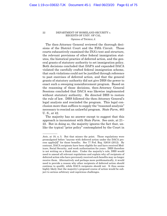——————

## Opinion of THOMAS, J. 22 DEPARTMENT OF HOMELAND SECURITY *v.*  REGENTS OF UNIV. OF CAL.

The then-Attorney General reviewed the thorough decisions of the District Court and the Fifth Circuit. Those courts exhaustively examined the INA's text and structure, the relevant provisions of other federal immigration statutes, the historical practice of deferred action, and the general grants of statutory authority to set immigration policy. Both decisions concluded that DAPA and expanded DACA violated the carefully crafted federal immigration scheme, that such violations could not be justified through reference to past exercises of deferred action, and that the general grants of statutory authority did not give DHS the power to enact such a sweeping nonenforcement program. Based on the reasoning of those decisions, then-Attorney General Sessions concluded that DACA was likewise implemented without statutory authority. He directed DHS to restore the rule of law. DHS followed the then-Attorney General's legal analysis and rescinded the program. This legal conclusion more than suffices to supply the "reasoned analysis" necessary to rescind an unlawful program. *State Farm*, 463 U. S., at 42.

The majority has no answer except to suggest that this approach is inconsistent with *State Farm*. See *ante*, at 21– 22. But in doing so, the majority ignores the fact that, unlike the typical "prior policy" contemplated by the Court in

*Ante*, at 19, n. 5. But that misses the point. Those regulations were promulgated before "anyone with deferred action under the DACA process applie[d]" for those benefits. See 77 Fed. Reg. 52616 (2012). By contrast, DACA recipients have been eligible for and have received Medicare, Social Security, and work authorization for years. DHS therefore is not writing on a blank slate. Under the majority's rule, DHS would need to amend all relevant regulations and explain why *all* recipients of deferred action who have previously received such benefits may no longer receive them. Alternatively and perhaps more problematically, it would need to provide a reason why other recipients of deferred action should continue to qualify, while DACA recipients should not. It thus seems highly likely that the majority's proposed course of action would be subject to serious arbitrary and capricious challenges.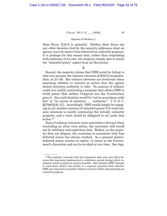#### Opinion of THOMAS, J.

 agency must do when it has inherited an unlawful program. *State Farm*, DACA is unlawful. Neither *State Farm* nor any other decision cited by the majority addresses what an It is perhaps for this reason that, rather than responding with authority of its own, the majority simply opts to excise the "unlawful policy" aspect from its discussion.

## B

Second, the majority claims that DHS erred by failing to take into account the reliance interests of DACA recipients. *Ante*, at 23–26. But reliance interests are irrelevant when assessing whether to rescind an action that the agency lacked statutory authority to take. No amount of reliance could ever justify continuing a program that allows DHS to wield power that neither Congress nor the Constitution gave it. Any such decision would be "not in accordance with law" or "in excess of statutory . . . authority." 5 U. S. C. §§706(2)(A), (C). Accordingly, DHS would simply be engaging in yet another exercise of unlawful power if it used reliance interests to justify continuing the initially unlawful program, and a court would be obligated to set aside that action.15

Even if reliance interests were sometimes relevant when rescinding an ultra vires action, the rescission still would not be arbitrary and capricious here. Rather, as the majority does not dispute, the rescission is consistent with how deferred action has always worked. As a general matter, deferred action creates no rights—it exists at the Government's discretion and can be revoked at any time. See App.

 $15$ The majority contends that this argument does not carry force because the rescission implemented a winddown period during which recipients would continue to receive benefits. But whether DHS' decision to wind down DACA was lawful is a separate question from whether DHS was required to consider reliance interests before discontinuing an unlawful program.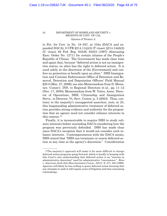## Opinion of THOMAS, J. 24 DEPARTMENT OF HOMELAND SECURITY *v.*  REGENTS OF UNIV. OF CAL.

to Pet. for Cert. in No. 18–587, at 104a (DACA and expanded DACA); 8 CFR §214.11(j)(3) (T visas); §214.14(d)(2) (U visas); 62 Fed. Reg. 63249, 63253 (1997) (discussing Exec. Order No. 12711 for certain citizens of the People's Republic of China). The Government has made clear time and again that, because "deferred action is not an immigration status, no alien has the right to deferred action. It is used solely in the discretion of the [Government] and confers no protection or benefit upon an alien." DHS Immigration and Customs Enforcement Office of Detention and Removal, Detention and Deportation Officers' Field Manual §20.8 (Mar. 27, 2006); see also Memorandum from D. Meissner, Comm'r, INS, to Regional Directors et al., pp. 11–12 (Nov. 17, 2000); Memorandum from W. Yates, Assoc. Director of Operations, DHS, Citizenship and Immigration Servs., to Director, Vt. Serv. Center, p. 5 (2003). Thus, contrary to the majority's unsupported assertion, *ante*, at 23, this longstanding administrative treatment of deferred action provides strong evidence and authority for the proposition that an agency need not consider reliance interests in this context.16

Finally, it is inconceivable to require DHS to study reliance interests before rescinding DACA considering how the program was previously defended. DHS has made clear since DACA's inception that it would not consider such reliance interests. Contemporaneous with the DACA memo, DHS stated that "DHS can terminate or renew deferred action at any time at the agency's discretion." Consideration

 v. *American-Arab Anti-Discrimination Comm.*, 525 U. S. 471, 484 (1999). any attempts to undo it will require years of litigation and time-consuming  $^{16}$ The majority's approach will make it far more difficult to change deferred-action programs going forward, which is hardly in keeping with this Court's own understanding that deferred action is an "exercise in administrative discretion" used for administrative "convenience." *Reno*  Agencies will likely be less willing to grant deferred action knowing that rulemakings.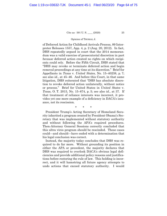#### Opinion of THOMAS, J.

of Deferred Action for Childhood Arrivals Process, 89 Interpreter Releases 1557, App. 4, p. 2 (Aug. 20, 2012). In fact, DHS repeatedly argued in court that the 2014 memorandum was a valid exercise of prosecutorial discretion in part *because* deferred action created no rights on which recipients could rely. Before the Fifth Circuit, DHS stated that "DHS may revoke or terminate deferred action and begin removal proceedings at any time at its discretion." Brief for Appellants in *Texas* v. *United States*, No. 15–40238, p. 7; see also *id.*, at 45–46. And before this Court, in that same litigation, DHS reiterated that "DHS has absolute discretion to revoke deferred action unilaterally, without notice or process." Brief for United States in *United States* v. *Texas*, O. T. 2015, No. 15–674, p. 5; see also *id.*, at 37. If that treatment of reliance interests was incorrect, it provides yet one more example of a deficiency in DACA's issuance, not its rescission.

\* \* \*

President Trump's Acting Secretary of Homeland Security inherited a program created by President Obama's Secretary that was implemented without statutory authority and without following the APA's required procedures. Then-Attorney General Sessions correctly concluded that this ultra vires program should be rescinded. These cases could—and should—have ended with a determination that his legal conclusion was correct.

Instead, the majority today concludes that DHS was required to do far more. Without grounding its position in either the APA or precedent, the majority declares that DHS was required to overlook DACA's obvious legal deficiencies and provide additional policy reasons and justifications before restoring the rule of law. This holding is incorrect, and it will hamstring all future agency attempts to undo actions that exceed statutory authority. I would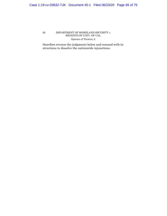## Opinion of THOMAS, J. 26 DEPARTMENT OF HOMELAND SECURITY *v.*  REGENTS OF UNIV. OF CAL.

therefore reverse the judgments below and remand with instructions to dissolve the nationwide injunctions.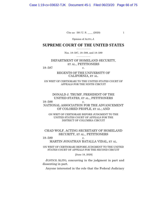Opinion of ALITO, J.

## $\frac{1}{2}$  ,  $\frac{1}{2}$  ,  $\frac{1}{2}$  ,  $\frac{1}{2}$  ,  $\frac{1}{2}$  ,  $\frac{1}{2}$  ,  $\frac{1}{2}$ **SUPREME COURT OF THE UNITED STATES**

 $\frac{1}{2}$  ,  $\frac{1}{2}$  ,  $\frac{1}{2}$  ,  $\frac{1}{2}$  ,  $\frac{1}{2}$  ,  $\frac{1}{2}$ Nos. 18–587, 18–588, and 18–589

## DEPARTMENT OF HOMELAND SECURITY, ET AL., PETITIONERS

18–587 *v.* 

### REGENTS OF THE UNIVERSITY OF CALIFORNIA, ET AL.

ON WRIT OF CERTIORARI TO THE UNITED STATES COURT OF APPEALS FOR THE NINTH CIRCUIT

# DONALD J. TRUMP, PRESIDENT OF THE UNITED STATES, ET AL., PETITIONERS 18–588 *v.*  NATIONAL ASSOCIATION FOR THE ADVANCEMENT OF COLORED PEOPLE, ET AL.; AND

ON WRIT OF CERTIORARI BEFORE JUDGMENT TO THE UNITED STATES COURT OF APPEALS FOR THE DISTRICT OF COLUMBIA CIRCUIT

# CHAD WOLF, ACTING SECRETARY OF HOMELAND SECURITY, ET AL., PETITIONERS

18–589 *v.*  MARTIN JONATHAN BATALLA VIDAL, ET AL.

ON WRIT OF CERTIORARI BEFORE JUDGMENT TO THE UNITED STATES COURT OF APPEALS FOR THE SECOND CIRCUIT

[June 18, 2020]

 JUSTICE ALITO, concurring in the judgment in part and dissenting in part.

Anyone interested in the role that the Federal Judiciary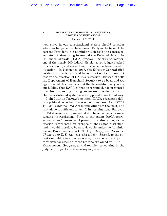## 2 DEPARTMENT OF HOMELAND SECURITY *v.*  REGENTS OF UNIV. OF CAL. Opinion of ALITO, J.

 that from occurring during an entire Presidential term. now plays in our constitutional system should consider what has happened in these cases. Early in the term of the current President, his administration took the controversial step of attempting to rescind the Deferred Action for Childhood Arrivals (DACA) program. Shortly thereafter, one of the nearly 700 federal district court judges blocked this rescission, and since then, this issue has been mired in litigation. In November 2018, the Solicitor General filed petitions for certiorari, and today, the Court still does not resolve the question of DACA's rescission. Instead, it tells the Department of Homeland Security to go back and try again. What this means is that the Federal Judiciary, without holding that DACA cannot be rescinded, has prevented Our constitutional system is not supposed to work that way.

 I join JUSTICE THOMAS's opinion. DACA presents a delicate political issue, but that is not our business. As JUSTICE THOMAS explains, DACA was unlawful from the start, and that alone is sufficient to justify its termination. But even if DACA were lawful, we would still have no basis for overturning its rescission. First, to the extent DACA represented a lawful exercise of prosecutorial discretion, its rescission represented an exercise of that same discretion, and it would therefore be unreviewable under the Administrative Procedure Act. 5 U. S. C. §701(a)(2); see *Heckler* v. *Chaney*, 470 U. S. 821, 831–832 (1985). Second, to the extent we could review the rescission, it was not arbitrary and capricious for essentially the reasons explained by JUSTICE KAVANAUGH. See *post*, at 4–6 (opinion concurring in the judgment in part and dissenting in part).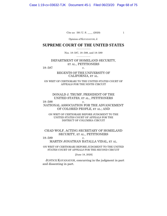Opinion of KAVANAUGH, J.

## **SUPREME COURT OF THE UNITED STATES**  $\overline{\phantom{a}}$  , where  $\overline{\phantom{a}}$

Nos. 18–587, 18–588, and 18–589  $\overline{\phantom{a}}$  , where  $\overline{\phantom{a}}$ 

## DEPARTMENT OF HOMELAND SECURITY, ET AL., PETITIONERS

18–587 *v.*

## REGENTS OF THE UNIVERSITY OF CALIFORNIA, ET AL.

ON WRIT OF CERTIORARI TO THE UNITED STATES COURT OF APPEALS FOR THE NINTH CIRCUIT

# DONALD J. TRUMP, PRESIDENT OF THE UNITED STATES, ET AL., PETITIONERS 18–588 *v.* NATIONAL ASSOCIATION FOR THE ADVANCEMENT OF COLORED PEOPLE, ET AL.; AND

ON WRIT OF CERTIORARI BEFORE JUDGMENT TO THE UNITED STATES COURT OF APPEALS FOR THE DISTRICT OF COLUMBIA CIRCUIT

# CHAD WOLF, ACTING SECRETARY OF HOMELAND SECURITY, ET AL., PETITIONERS

18–589 *v.* MARTIN JONATHAN BATALLA VIDAL, ET AL.

ON WRIT OF CERTIORARI BEFORE JUDGMENT TO THE UNITED STATES COURT OF APPEALS FOR THE SECOND CIRCUIT

[June 18, 2020]

 JUSTICE KAVANAUGH, concurring in the judgment in part and dissenting in part.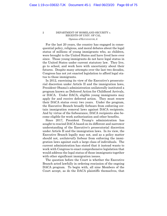## 2 DEPARTMENT OF HOMELAND SECURITY *v.* REGENTS OF UNIV. OF CAL. Opinion of KAVANAUGH, J.

For the last 20 years, the country has engaged in consequential policy, religious, and moral debates about the legal status of millions of young immigrants who, as children, were brought to the United States and have lived here ever since. Those young immigrants do not have legal status in the United States under current statutory law. They live, go to school, and work here with uncertainty about their futures. Despite many attempts over the last two decades, Congress has not yet enacted legislation to afford legal status to those immigrants.

In 2012, exercising its view of the Executive's prosecutorial discretion under Article II and the immigration laws, President Obama's administration unilaterally instituted a program known as Deferred Action for Childhood Arrivals, or DACA. Under DACA, eligible young immigrants may apply for and receive deferred action. They must renew their DACA status every two years. Under the program, the Executive Branch broadly forbears from enforcing certain immigration removal laws against DACA recipients. And by virtue of the forbearance, DACA recipients also become eligible for work authorization and other benefits.

Since 2017, President Trump's administration has sought to rescind DACA based on its different and narrower understanding of the Executive's prosecutorial discretion under Article II and the immigration laws. In its view, the Executive Branch legally may not, and as a policy matter should not, *unilaterally* forbear from enforcing the immigration laws against such a large class of individuals. The current administration has stated that it instead wants to work with Congress to enact comprehensive legislation that would address the legal status of those immigrants together with other significant immigration issues.

The question before the Court is whether the Executive Branch acted lawfully in ordering rescission of the ongoing DACA program. To begin with, all nine Members of the Court accept, as do the DACA plaintiffs themselves, that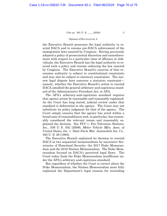#### Opinion of KAVANAUGH, J.

the Executive Branch possesses the legal authority to rescind DACA and to resume pre-DACA enforcement of the immigration laws enacted by Congress. Having previously adopted a policy of prosecutorial discretion and nonenforcement with respect to a particular class of offenses or individuals, the Executive Branch has the legal authority to rescind such a policy and resume enforcing the law enacted by Congress. The Executive Branch's exercise of that rescission authority is subject to constitutional constraints and may also be subject to statutory constraints. The narrow legal dispute here concerns a statutory constraint namely, whether the Executive Branch's action to rescind DACA satisfied the general arbitrary-and-capricious standard of the Administrative Procedure Act, or APA.

The APA's arbitrary-and-capricious standard requires that agency action be reasonable and reasonably explained. As the Court has long stated, judicial review under that standard is deferential to the agency. The Court may not substitute its policy judgment for that of the agency. The Court simply ensures that the agency has acted within a broad zone of reasonableness and, in particular, has reasonably considered the relevant issues and reasonably explained the decision. See *FCC* v. *Fox Television Stations, Inc.*, 556 U. S. 502 (2009); *Motor Vehicle Mfrs. Assn. of United States, Inc.* v. *State Farm Mut. Automobile Ins. Co.*, 463 U. S. 29 (1983).

The Executive Branch explained its decision to rescind DACA in two sequential memorandums by successive Secretaries of Homeland Security: the 2017 Duke Memorandum and the 2018 Nielsen Memorandum. The Duke Memorandum focused on DACA's perceived legal flaws. The Court today finds the Duke Memorandum insufficient under the APA's arbitrary-and-capricious standard.

But regardless of whether the Court is correct about the Duke Memorandum, the Nielsen Memorandum more fully explained the Department's legal reasons for rescinding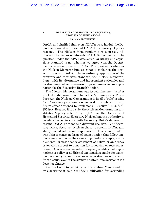## 4 DEPARTMENT OF HOMELAND SECURITY *v.* REGENTS OF UNIV. OF CAL. Opinion of KAVANAUGH, J.

DACA, and clarified that even if DACA were lawful, the Department would still rescind DACA for a variety of policy reasons. The Nielsen Memorandum also expressly addressed the reliance interests of DACA recipients. The question under the APA's deferential arbitrary-and-capricious standard is not whether we agree with the Department's decision to rescind DACA. The question is whether the Nielsen Memorandum reasonably explained the decision to rescind DACA. Under ordinary application of the arbitrary-and-capricious standard, the Nielsen Memorandum—with its alternative and independent rationales and its discussion of reliance—would pass muster as an explanation for the Executive Branch's action.

The Nielsen Memorandum was issued nine months after the Duke Memorandum. Under the Administrative Procedure Act, the Nielsen Memorandum is itself a "rule" setting forth "an agency statement of general . . . applicability and future effect designed to implement . . . policy." 5 U. S. C. §551(4). Because it is a rule, the Nielsen Memorandum constitutes "agency action." §551(13). As the Secretary of Homeland Security, Secretary Nielsen had the authority to decide whether to stick with Secretary Duke's decision to rescind DACA, or to make a different decision. Like Secretary Duke, Secretary Nielsen chose to rescind DACA, and she provided additional explanation. Her memorandum was akin to common forms of agency action that follow earlier agency action on the same subject—for example, a supplemental or new agency statement of policy, or an agency order with respect to a motion for rehearing or reconsideration. Courts often consider an agency's additional explanations of policy or additional explanations made, for example, on agency rehearing or reconsideration, or on remand from a court, even if the agency's bottom-line decision itself does not change.

Yet the Court today jettisons the Nielsen Memorandum by classifying it as a *post hoc* justification for rescinding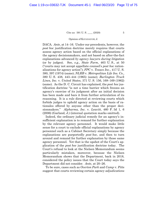#### Opinion of KAVANAUGH, J.

DACA. *Ante*, at 14–16. Under our precedents, however, the *post hoc* justification doctrine merely requires that courts assess agency action based on the official explanations of the agency decisionmakers, and not based on after-the-fact explanations advanced *by agency lawyers during litigation* (or by judges). See, *e.g., State Farm*, 463 U. S., at 50 ("courts may not accept appellate counsel's *post hoc* rationalizations for agency action"); *FPC* v. *Texaco Inc.*, 417 U. S. 380, 397 (1974) (same); *NLRB* v. *Metropolitan Life Ins. Co.*, 380 U. S. 438, 443–444 (1965) (same); *Burlington Truck Lines, Inc.* v. *United States*, 371 U. S. 156, 168–169 (1962) (same). As the D. C. Circuit has explained, the *post hoc* justification doctrine "is not a time barrier which freezes an agency's exercise of its judgment after an initial decision has been made and bars it from further articulation of its reasoning. It is a rule directed at reviewing courts which forbids judges to uphold agency action on the basis of rationales offered by anyone other than the proper decisionmakers." *Alpharma, Inc.* v. *Leavitt*, 460 F. 3d 1, 6 (2006) (Garland, J.) (internal quotation marks omitted).

Indeed, the ordinary judicial remedy for an agency's insufficient explanation is to remand for further explanation by the relevant agency personnel. It would make little sense for a court to exclude official explanations by agency personnel such as a Cabinet Secretary simply because the explanations are purportedly *post hoc*, and then to turn around and remand for further explanation by those same agency personnel. Yet that is the upshot of the Court's application of the *post hoc* justification doctrine today. The Court's refusal to look at the Nielsen Memorandum seems particularly mistaken, moreover, because the Nielsen Memorandum shows that the Department, back in 2018, considered the policy issues that the Court today says the Department did not consider. *Ante,* at 20–26.

To be sure, cases such as *Overton Park* and *Camp* v. *Pitts*  suggest that courts reviewing certain agency *adjudications*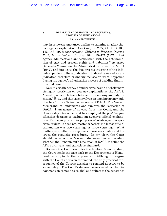## 6 DEPARTMENT OF HOMELAND SECURITY *v.* REGENTS OF UNIV. OF CAL. Opinion of KAVANAUGH, J.

may in some circumstances decline to examine an after-thefact agency explanation. See *Camp* v. *Pitts*, 411 U. S. 138, 142–143 (1973) (*per curiam*); *Citizens to Preserve Overton Park, Inc.* v. *Volpe*, 401 U. S. 402, 419–421 (1971). But agency adjudications are "concerned with the determination of past and present rights and liabilities," Attorney General's Manual on the Administrative Procedure Act 14 (1947), and implicate the due process interests of the individual parties to the adjudication. Judicial review of an adjudication therefore ordinarily focuses on what happened during the agency's adjudication process of deciding that individual case.

Even if certain agency adjudications have a slightly more stringent restriction on *post hoc* explanations, the APA is "based upon a dichotomy between rule making and adjudication," *ibid*., and this case involves an ongoing agency rule that has future effect—the rescission of DACA. The Nielsen Memorandum implements and explains the rescission of DACA. I am aware of no case from this Court, and the Court today cites none, that has employed the *post hoc* justification doctrine to exclude an agency's official explanation of an agency rule. For purposes of arbitrary-and-capricious review, it does not matter whether the latest official explanation was two years ago or three years ago. What matters is whether the explanation was reasonable and followed the requisite procedures. In my view, the Court should consider the Nielsen Memorandum in deciding whether the Department's rescission of DACA satisfies the APA's arbitrary-and-capricious standard.

Because the Court excludes the Nielsen Memorandum, the Court sends the case back to the Department of Homeland Security for further explanation. Although I disagree with the Court's decision to remand, the only practical consequence of the Court's decision to remand appears to be some delay. The Court's decision seems to allow the Department on remand to relabel and reiterate the substance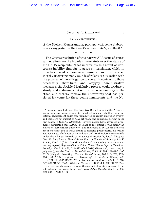Cite as: 591 U.S. \_\_\_\_ (2020) 7

## Opinion of KAVANAUGH, J.

of the Nielsen Memorandum, perhaps with some elaboration as suggested in the Court's opinion. *Ante,* at 23–26.\*

\* \* \*

The Court's resolution of this narrow APA issue of course cannot eliminate the broader uncertainty over the status of the DACA recipients. That uncertainty is a result of Congress's inability thus far to agree on legislation, which in turn has forced successive administrations to improvise, thereby triggering many rounds of relentless litigation with the prospect of more litigation to come. In contrast to those necessarily short-lived and stopgap administrative measures, the Article I legislative process could produce a sturdy and enduring solution to this issue, one way or the other, and thereby remove the uncertainty that has persisted for years for these young immigrants and the Na-

——————

<sup>\*</sup>Because I conclude that the Executive Branch satisfied the APA's arbitrary-and-capricious standard, I need not consider whether its prosecutorial enforcement policy was "committed to agency discretion by law" and therefore not subject to APA arbitrary-and-capricious review in the first place. 5 U. S. C. §701(a)(2). Several judges have advanced arguments suggesting that DACA—at least to the extent it was simply an exercise of forbearance authority—and the repeal of DACA are decisions about whether and to what extent to exercise prosecutorial discretion against a class of offenses or individuals, and are therefore unreviewable under the APA as "committed to agency discretion by law." *Ibid.*; see *Casa De Maryland* v. *United States Dept. of Homeland Security*, 924 F. 3d 684, 709–715 (CA4 2019) (Richardson, J., concurring in part and dissenting in part); *Regents of Univ. Cal.* v. *United States Dept. of Homeland Security*, 908 F. 3d 476, 521–523 (CA9 2018) (Owens, J., concurring in judgment); see also *Texas* v. *United States*, 809 F. 3d 134, 196–202 (CA5 2015) (King, J., dissenting); *Texas* v. *United States*, 787 F. 3d 733, 770– 776 (CA5 2015) (Higginson, J., dissenting); cf. *Heckler* v. *Chaney*, 470 U. S. 821, 831–835 (1985); *ICC* v. *Locomotive Engineers*, 482 U. S. 270, 277–284 (1987); *United States* v. *Nixon*, 418 U. S. 683, 693 (1974) ("the Executive Branch has exclusive authority and absolute discretion to decide whether to prosecute a case"); *In re Aiken County*, 725 F. 3d 255, 262–264 (CADC 2013).